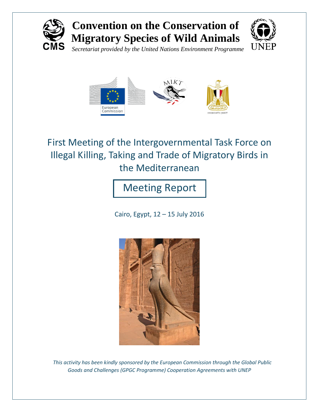

# **Convention on the Conservation of Migratory Species of Wild Animals**



*Secretariat provided by the United Nations Environment Programme*



First Meeting of the Intergovernmental Task Force on Illegal Killing, Taking and Trade of Migratory Birds in the Mediterranean

Meeting Report

Cairo, Egypt, 12 – 15 July 2016



 *This activity has been kindly sponsored by the European Commission through the Global Public Goods and Challenges (GPGC Programme) Cooperation Agreements with UNEP*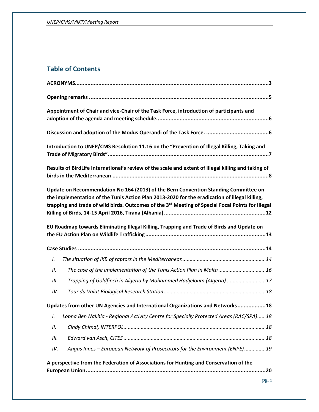# **Table of Contents**

| Appointment of Chair and vice-Chair of the Task Force, introduction of participants and                                                                                                                                                                                                               |
|-------------------------------------------------------------------------------------------------------------------------------------------------------------------------------------------------------------------------------------------------------------------------------------------------------|
|                                                                                                                                                                                                                                                                                                       |
| Introduction to UNEP/CMS Resolution 11.16 on the "Prevention of Illegal Killing, Taking and                                                                                                                                                                                                           |
| Results of BirdLife International's review of the scale and extent of illegal killing and taking of                                                                                                                                                                                                   |
| Update on Recommendation No 164 (2013) of the Bern Convention Standing Committee on<br>the implementation of the Tunis Action Plan 2013-2020 for the eradication of illegal killing,<br>trapping and trade of wild birds. Outcomes of the 3 <sup>rd</sup> Meeting of Special Focal Points for Illegal |
| EU Roadmap towards Eliminating Illegal Killing, Trapping and Trade of Birds and Update on                                                                                                                                                                                                             |
|                                                                                                                                                                                                                                                                                                       |
| I.                                                                                                                                                                                                                                                                                                    |
| The case of the implementation of the Tunis Action Plan in Malta  16<br>П.                                                                                                                                                                                                                            |
| Trapping of Goldfinch in Algeria by Mohammed Hadjeloum (Algeria)  17<br>Ш.                                                                                                                                                                                                                            |
| IV.                                                                                                                                                                                                                                                                                                   |
| Updates from other UN Agencies and International Organizations and Networks18                                                                                                                                                                                                                         |
| Lobna Ben Nakhla - Regional Activity Centre for Specially Protected Areas (RAC/SPA) 18<br>I.                                                                                                                                                                                                          |
| П.                                                                                                                                                                                                                                                                                                    |
| Ш.                                                                                                                                                                                                                                                                                                    |
| Angus Innes - European Network of Prosecutors for the Environment (ENPE) 19<br>IV.                                                                                                                                                                                                                    |
| A perspective from the Federation of Associations for Hunting and Conservation of the                                                                                                                                                                                                                 |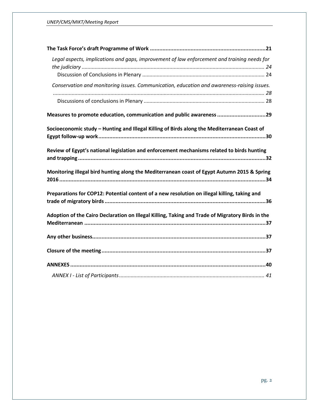| Legal aspects, implications and gaps, improvement of law enforcement and training needs for      |  |
|--------------------------------------------------------------------------------------------------|--|
|                                                                                                  |  |
| Conservation and monitoring issues. Communication, education and awareness-raising issues.       |  |
|                                                                                                  |  |
|                                                                                                  |  |
| Measures to promote education, communication and public awareness 29                             |  |
| Socioeconomic study - Hunting and Illegal Killing of Birds along the Mediterranean Coast of      |  |
|                                                                                                  |  |
| Review of Egypt's national legislation and enforcement mechanisms related to birds hunting       |  |
| Monitoring illegal bird hunting along the Mediterranean coast of Egypt Autumn 2015 & Spring      |  |
| Preparations for COP12: Potential content of a new resolution on illegal killing, taking and     |  |
| Adoption of the Cairo Declaration on Illegal Killing, Taking and Trade of Migratory Birds in the |  |
|                                                                                                  |  |
|                                                                                                  |  |
|                                                                                                  |  |
|                                                                                                  |  |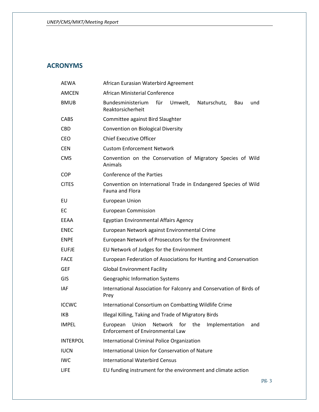## <span id="page-3-0"></span>**ACRONYMS**

| <b>AEWA</b>     | African Eurasian Waterbird Agreement                                                                        |
|-----------------|-------------------------------------------------------------------------------------------------------------|
| <b>AMCEN</b>    | African Ministerial Conference                                                                              |
| <b>BMUB</b>     | für<br>Umwelt,<br>Naturschutz,<br>Bundesministerium<br>Bau<br>und<br>Reaktorsicherheit                      |
| <b>CABS</b>     | Committee against Bird Slaughter                                                                            |
| <b>CBD</b>      | Convention on Biological Diversity                                                                          |
| <b>CEO</b>      | <b>Chief Executive Officer</b>                                                                              |
| <b>CEN</b>      | <b>Custom Enforcement Network</b>                                                                           |
| <b>CMS</b>      | Convention on the Conservation of Migratory Species of Wild<br>Animals                                      |
| <b>COP</b>      | Conference of the Parties                                                                                   |
| <b>CITES</b>    | Convention on International Trade in Endangered Species of Wild<br>Fauna and Flora                          |
| EU              | <b>European Union</b>                                                                                       |
| EC              | <b>European Commission</b>                                                                                  |
| EEAA            | Egyptian Environmental Affairs Agency                                                                       |
| <b>ENEC</b>     | European Network against Environmental Crime                                                                |
| <b>ENPE</b>     | European Network of Prosecutors for the Environment                                                         |
| <b>EUFJE</b>    | EU Network of Judges for the Environment                                                                    |
| <b>FACE</b>     | European Federation of Associations for Hunting and Conservation                                            |
| <b>GEF</b>      | <b>Global Environment Facility</b>                                                                          |
| GIS             | Geographic Information Systems                                                                              |
| IAF             | International Association for Falconry and Conservation of Birds of<br>Prey                                 |
| <b>ICCWC</b>    | International Consortium on Combatting Wildlife Crime                                                       |
| <b>IKB</b>      | Illegal Killing, Taking and Trade of Migratory Birds                                                        |
| <b>IMPEL</b>    | Network for<br>the<br>Implementation<br>European<br>Union<br>and<br><b>Enforcement of Environmental Law</b> |
| <b>INTERPOL</b> | International Criminal Police Organization                                                                  |
| <b>IUCN</b>     | International Union for Conservation of Nature                                                              |
| <b>IWC</b>      | <b>International Waterbird Census</b>                                                                       |
| <b>LIFE</b>     | EU funding instrument for the environment and climate action                                                |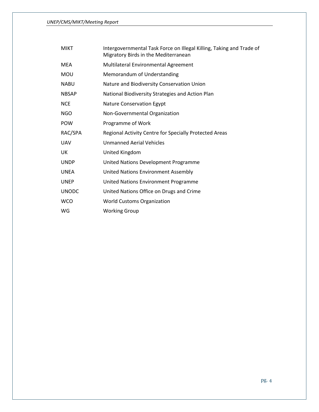| <b>MIKT</b>  | Intergovernmental Task Force on Illegal Killing, Taking and Trade of<br>Migratory Birds in the Mediterranean |
|--------------|--------------------------------------------------------------------------------------------------------------|
| <b>MEA</b>   | Multilateral Environmental Agreement                                                                         |
| <b>MOU</b>   | Memorandum of Understanding                                                                                  |
| <b>NABU</b>  | Nature and Biodiversity Conservation Union                                                                   |
| <b>NBSAP</b> | National Biodiversity Strategies and Action Plan                                                             |
| <b>NCE</b>   | <b>Nature Conservation Egypt</b>                                                                             |
| <b>NGO</b>   | Non-Governmental Organization                                                                                |
| <b>POW</b>   | Programme of Work                                                                                            |
| RAC/SPA      | Regional Activity Centre for Specially Protected Areas                                                       |
| <b>UAV</b>   | Unmanned Aerial Vehicles                                                                                     |
| UK           | United Kingdom                                                                                               |
| <b>UNDP</b>  | United Nations Development Programme                                                                         |
| <b>UNEA</b>  | <b>United Nations Environment Assembly</b>                                                                   |
| <b>UNEP</b>  | United Nations Environment Programme                                                                         |
| <b>UNODC</b> | United Nations Office on Drugs and Crime                                                                     |
| <b>WCO</b>   | <b>World Customs Organization</b>                                                                            |
| WG           | <b>Working Group</b>                                                                                         |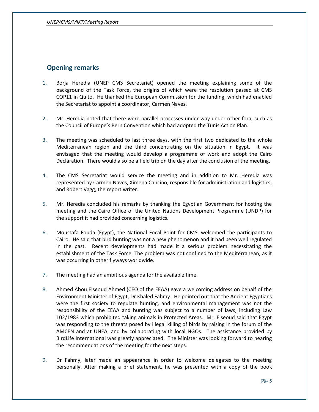## <span id="page-5-0"></span>**Opening remarks**

- 1. Borja Heredia (UNEP CMS Secretariat) opened the meeting explaining some of the background of the Task Force, the origins of which were the resolution passed at CMS COP11 in Quito. He thanked the European Commission for the funding, which had enabled the Secretariat to appoint a coordinator, Carmen Naves.
- 2. Mr. Heredia noted that there were parallel processes under way under other fora, such as the Council of Europe's Bern Convention which had adopted the Tunis Action Plan.
- 3. The meeting was scheduled to last three days, with the first two dedicated to the whole Mediterranean region and the third concentrating on the situation in Egypt. It was envisaged that the meeting would develop a programme of work and adopt the Cairo Declaration. There would also be a field trip on the day after the conclusion of the meeting.
- 4. The CMS Secretariat would service the meeting and in addition to Mr. Heredia was represented by Carmen Naves, Ximena Cancino, responsible for administration and logistics, and Robert Vagg, the report writer.
- 5. Mr. Heredia concluded his remarks by thanking the Egyptian Government for hosting the meeting and the Cairo Office of the United Nations Development Programme (UNDP) for the support it had provided concerning logistics.
- 6. Moustafa Fouda (Egypt), the National Focal Point for CMS, welcomed the participants to Cairo. He said that bird hunting was not a new phenomenon and it had been well regulated in the past. Recent developments had made it a serious problem necessitating the establishment of the Task Force. The problem was not confined to the Mediterranean, as it was occurring in other flyways worldwide.
- 7. The meeting had an ambitious agenda for the available time.
- 8. Ahmed Abou Elseoud Ahmed (CEO of the EEAA) gave a welcoming address on behalf of the Environment Minister of Egypt, Dr Khaled Fahmy. He pointed out that the Ancient Egyptians were the first society to regulate hunting, and environmental management was not the responsibility of the EEAA and hunting was subject to a number of laws, including Law 102/1983 which prohibited taking animals in Protected Areas. Mr. Elseoud said that Egypt was responding to the threats posed by illegal killing of birds by raising in the forum of the AMCEN and at UNEA, and by collaborating with local NGOs. The assistance provided by BirdLife International was greatly appreciated. The Minister was looking forward to hearing the recommendations of the meeting for the next steps.
- 9. Dr Fahmy, later made an appearance in order to welcome delegates to the meeting personally. After making a brief statement, he was presented with a copy of the book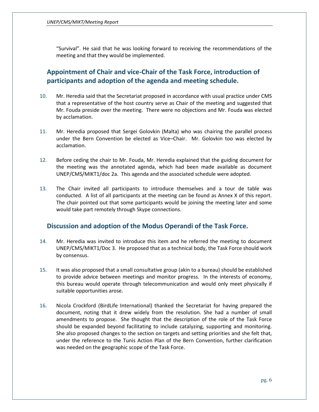*UNEP/CMS/MIKT/Meeting Report*

"Survival". He said that he was looking forward to receiving the recommendations of the meeting and that they would be implemented.

# <span id="page-6-0"></span>**Appointment of Chair and vice-Chair of the Task Force, introduction of participants and adoption of the agenda and meeting schedule.**

- 10. Mr. Heredia said that the Secretariat proposed in accordance with usual practice under CMS that a representative of the host country serve as Chair of the meeting and suggested that Mr. Fouda preside over the meeting. There were no objections and Mr. Fouda was elected by acclamation.
- 11. Mr. Heredia proposed that Sergei Golovkin (Malta) who was chairing the parallel process under the Bern Convention be elected as Vice–Chair. Mr. Golovkin too was elected by acclamation.
- 12. Before ceding the chair to Mr. Fouda, Mr. Heredia explained that the guiding document for the meeting was the annotated agenda, which had been made available as document UNEP/CMS/MIKT1/doc 2a. This agenda and the associated schedule were adopted.
- 13. The Chair invited all participants to introduce themselves and a tour de table was conducted. A list of all participants at the meeting can be found as Annex X of this report. The chair pointed out that some participants would be joining the meeting later and some would take part remotely through Skype connections.

## <span id="page-6-1"></span>**Discussion and adoption of the Modus Operandi of the Task Force.**

- 14. Mr. Heredia was invited to introduce this item and he referred the meeting to document UNEP/CMS/MIKT1/Doc 3. He proposed that as a technical body, the Task Force should work by consensus.
- 15. It was also proposed that a small consultative group (akin to a bureau) should be established to provide advice between meetings and monitor progress. In the interests of economy, this bureau would operate through telecommunication and would only meet physically if suitable opportunities arose.
- 16. Nicola Crockford (BirdLife International) thanked the Secretariat for having prepared the document, noting that it drew widely from the resolution. She had a number of small amendments to propose. She thought that the description of the role of the Task Force should be expanded beyond facilitating to include catalyzing, supporting and monitoring. She also proposed changes to the section on targets and setting priorities and she felt that, under the reference to the Tunis Action Plan of the Bern Convention, further clarification was needed on the geographic scope of the Task Force.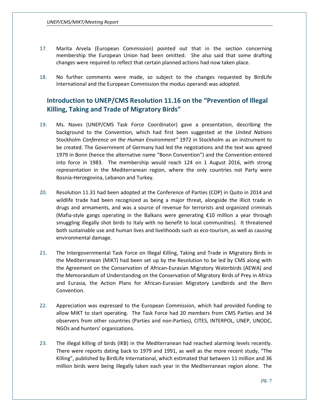- 17. Marita Arvela (European Commission) pointed out that in the section concerning membership the European Union had been omitted. She also said that some drafting changes were required to reflect that certain planned actions had now taken place.
- 18. No further comments were made, so subject to the changes requested by BirdLife International and the European Commission the modus operandi was adopted.

## <span id="page-7-0"></span>**Introduction to UNEP/CMS Resolution 11.16 on the "Prevention of Illegal Killing, Taking and Trade of Migratory Birds"**

- 19. Ms. Naves (UNEP/CMS Task Force Coordinator) gave a presentation, describing the background to the Convention, which had first been suggested at the *United Nations*  Stockholm *Conference on the Human Environment"* 1972 in Stockholm as an instrument to be created. The Government of Germany had led the negotiations and the text was agreed 1979 in Bonn (hence the alternative name "Bonn Convention") and the Convention entered into force in 1983. The membership would reach 124 on 1 August 2016, with strong representation in the Mediterranean region, where the only countries not Party were Bosnia-Herzegovina, Lebanon and Turkey.
- 20. Resolution 11.31 had been adopted at the Conference of Parties (COP) in Quito in 2014 and wildlife trade had been recognized as being a major threat, alongside the illicit trade in drugs and armaments, and was a source of revenue for terrorists and organized criminals (Mafia-style gangs operating in the Balkans were generating  $€10$  million a year through smuggling illegally shot birds to Italy with no benefit to local communities). It threatened both sustainable use and human lives and livelihoods such as eco-tourism, as well as causing environmental damage.
- 21. The Intergovernmental Task Force on Illegal Killing, Taking and Trade in Migratory Birds in the Mediterranean (MIKT) had been set up by the Resolution to be led by CMS along with the Agreement on the Conservation of African-Eurasian Migratory Waterbirds (AEWA) and the Memorandum of Understanding on the Conservation of Migratory Birds of Prey in Africa and Eurasia, the Action Plans for African-Eurasian Migratory Landbirds and the Bern Convention.
- 22. Appreciation was expressed to the European Commission, which had provided funding to allow MIKT to start operating. The Task Force had 20 members from CMS Parties and 34 observers from other countries (Parties and non-Parties), CITES, INTERPOL, UNEP, UNODC, NGOs and hunters' organizations.
- 23. The illegal killing of birds (IKB) in the Mediterranean had reached alarming levels recently. There were reports dating back to 1979 and 1991, as well as the more recent study, "The Killing", published by BirdLife International, which estimated that between 11 million and 36 million birds were being illegally taken each year in the Mediterranean region alone. The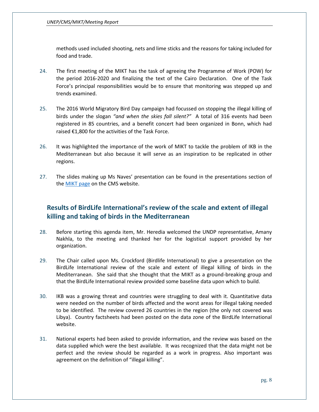methods used included shooting, nets and lime sticks and the reasons for taking included for food and trade.

- 24. The first meeting of the MIKT has the task of agreeing the Programme of Work (POW) for the period 2016-2020 and finalizing the text of the Cairo Declaration. One of the Task Force's principal responsibilities would be to ensure that monitoring was stepped up and trends examined.
- 25. The 2016 World Migratory Bird Day campaign had focussed on stopping the illegal killing of birds under the slogan *"and when the skies fall silent?"* A total of 316 events had been registered in 85 countries, and a benefit concert had been organized in Bonn, which had raised €1,800 for the activities of the Task Force.
- 26. It was highlighted the importance of the work of MIKT to tackle the problem of IKB in the Mediterranean but also because it will serve as an inspiration to be replicated in other regions.
- 27. The slides making up Ms Naves' presentation can be found in the presentations section of th[e MIKT page](http://www.cms.int/en/meeting/1st-meeting-intergovernmental-task-force-illegal-killing-taking-and-trade-migratory-birds) on the CMS website.

# <span id="page-8-0"></span>**Results of BirdLife International's review of the scale and extent of illegal killing and taking of birds in the Mediterranean**

- 28. Before starting this agenda item, Mr. Heredia welcomed the UNDP representative, Amany Nakhla, to the meeting and thanked her for the logistical support provided by her organization.
- 29. The Chair called upon Ms. Crockford (Birdlife International) to give a presentation on the BirdLife International review of the scale and extent of illegal killing of birds in the Mediterranean. She said that she thought that the MIKT as a ground-breaking group and that the BirdLife International review provided some baseline data upon which to build.
- 30. IKB was a growing threat and countries were struggling to deal with it. Quantitative data were needed on the number of birds affected and the worst areas for illegal taking needed to be identified. The review covered 26 countries in the region (the only not covered was Libya). Country factsheets had been posted on the data zone of the BirdLife International website.
- 31. National experts had been asked to provide information, and the review was based on the data supplied which were the best available. It was recognized that the data might not be perfect and the review should be regarded as a work in progress. Also important was agreement on the definition of "illegal killing".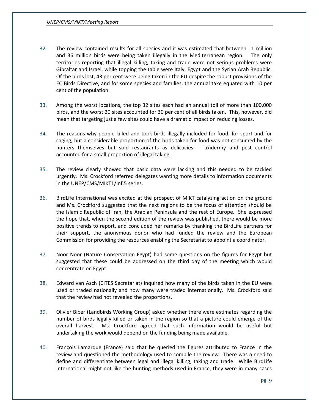- 32. The review contained results for all species and it was estimated that between 11 million and 36 million birds were being taken illegally in the Mediterranean region. The only territories reporting that illegal killing, taking and trade were not serious problems were Gibraltar and Israel, while topping the table were Italy, Egypt and the Syrian Arab Republic. Of the birds lost, 43 per cent were being taken in the EU despite the robust provisions of the EC Birds Directive, and for some species and families, the annual take equated with 10 per cent of the population.
- 33. Among the worst locations, the top 32 sites each had an annual toll of more than 100,000 birds, and the worst 20 sites accounted for 30 per cent of all birds taken. This, however, did mean that targeting just a few sites could have a dramatic impact on reducing losses.
- 34. The reasons why people killed and took birds illegally included for food, for sport and for caging, but a considerable proportion of the birds taken for food was not consumed by the hunters themselves but sold restaurants as delicacies. Taxidermy and pest control accounted for a small proportion of illegal taking.
- 35. The review clearly showed that basic data were lacking and this needed to be tackled urgently. Ms. Crockford referred delegates wanting more details to information documents in the UNEP/CMS/MIKT1/Inf.5 series.
- 36. BirdLife International was excited at the prospect of MIKT catalyzing action on the ground and Ms. Crockford suggested that the next regions to be the focus of attention should be the Islamic Republic of Iran, the Arabian Peninsula and the rest of Europe. She expressed the hope that, when the second edition of the review was published, there would be more positive trends to report, and concluded her remarks by thanking the BirdLife partners for their support, the anonymous donor who had funded the review and the European Commission for providing the resources enabling the Secretariat to appoint a coordinator.
- 37. Noor Noor (Nature Conservation Egypt) had some questions on the figures for Egypt but suggested that these could be addressed on the third day of the meeting which would concentrate on Egypt.
- 38. Edward van Asch (CITES Secretariat) inquired how many of the birds taken in the EU were used or traded nationally and how many were traded internationally. Ms. Crockford said that the review had not revealed the proportions.
- 39. Olivier Biber (Landbirds Working Group) asked whether there were estimates regarding the number of birds legally killed or taken in the region so that a picture could emerge of the overall harvest. Ms. Crockford agreed that such information would be useful but undertaking the work would depend on the funding being made available.
- 40. François Lamarque (France) said that he queried the figures attributed to France in the review and questioned the methodology used to compile the review. There was a need to define and differentiate between legal and illegal killing, taking and trade. While BirdLife International might not like the hunting methods used in France, they were in many cases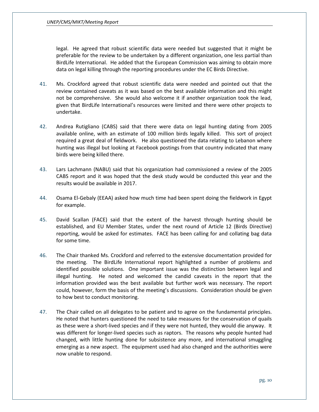legal. He agreed that robust scientific data were needed but suggested that it might be preferable for the review to be undertaken by a different organization, one less partial than BirdLife International. He added that the European Commission was aiming to obtain more data on legal killing through the reporting procedures under the EC Birds Directive.

- 41. Ms. Crockford agreed that robust scientific data were needed and pointed out that the review contained caveats as it was based on the best available information and this might not be comprehensive. She would also welcome it if another organization took the lead, given that BirdLife International's resources were limited and there were other projects to undertake.
- 42. Andrea Rutigliano (CABS) said that there were data on legal hunting dating from 2005 available online, with an estimate of 100 million birds legally killed. This sort of project required a great deal of fieldwork. He also questioned the data relating to Lebanon where hunting was illegal but looking at Facebook postings from that country indicated that many birds were being killed there.
- 43. Lars Lachmann (NABU) said that his organization had commissioned a review of the 2005 CABS report and it was hoped that the desk study would be conducted this year and the results would be available in 2017.
- 44. Osama El-Gebaly (EEAA) asked how much time had been spent doing the fieldwork in Egypt for example.
- 45. David Scallan (FACE) said that the extent of the harvest through hunting should be established, and EU Member States, under the next round of Article 12 (Birds Directive) reporting, would be asked for estimates. FACE has been calling for and collating bag data for some time.
- 46. The Chair thanked Ms. Crockford and referred to the extensive documentation provided for the meeting. The BirdLife International report highlighted a number of problems and identified possible solutions. One important issue was the distinction between legal and illegal hunting. He noted and welcomed the candid caveats in the report that the information provided was the best available but further work was necessary. The report could, however, form the basis of the meeting's discussions. Consideration should be given to how best to conduct monitoring.
- 47. The Chair called on all delegates to be patient and to agree on the fundamental principles. He noted that hunters questioned the need to take measures for the conservation of quails as these were a short-lived species and if they were not hunted, they would die anyway. It was different for longer-lived species such as raptors. The reasons why people hunted had changed, with little hunting done for subsistence any more, and international smuggling emerging as a new aspect. The equipment used had also changed and the authorities were now unable to respond.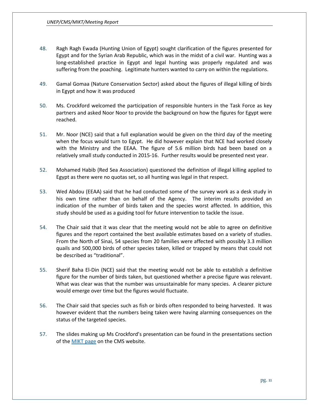- 48. Ragh Ragh Ewada (Hunting Union of Egypt) sought clarification of the figures presented for Egypt and for the Syrian Arab Republic, which was in the midst of a civil war. Hunting was a long-established practice in Egypt and legal hunting was properly regulated and was suffering from the poaching. Legitimate hunters wanted to carry on within the regulations.
- 49. Gamal Gomaa (Nature Conservation Sector) asked about the figures of illegal killing of birds in Egypt and how it was produced
- 50. Ms. Crockford welcomed the participation of responsible hunters in the Task Force as key partners and asked Noor Noor to provide the background on how the figures for Egypt were reached.
- 51. Mr. Noor (NCE) said that a full explanation would be given on the third day of the meeting when the focus would turn to Egypt. He did however explain that NCE had worked closely with the Ministry and the EEAA. The figure of 5.6 million birds had been based on a relatively small study conducted in 2015-16. Further results would be presented next year.
- 52. Mohamed Habib (Red Sea Association) questioned the definition of illegal killing applied to Egypt as there were no quotas set, so all hunting was legal in that respect.
- 53. Wed Abdou (EEAA) said that he had conducted some of the survey work as a desk study in his own time rather than on behalf of the Agency. The interim results provided an indication of the number of birds taken and the species worst affected. In addition, this study should be used as a guiding tool for future intervention to tackle the issue.
- 54. The Chair said that it was clear that the meeting would not be able to agree on definitive figures and the report contained the best available estimates based on a variety of studies. From the North of Sinai, 54 species from 20 families were affected with possibly 3.3 million quails and 500,000 birds of other species taken, killed or trapped by means that could not be described as "traditional".
- 55. Sherif Baha El-Din (NCE) said that the meeting would not be able to establish a definitive figure for the number of birds taken, but questioned whether a precise figure was relevant. What was clear was that the number was unsustainable for many species. A clearer picture would emerge over time but the figures would fluctuate.
- 56. The Chair said that species such as fish or birds often responded to being harvested. It was however evident that the numbers being taken were having alarming consequences on the status of the targeted species.
- 57. The slides making up Ms Crockford's presentation can be found in the presentations section of the [MIKT page](http://www.cms.int/en/meeting/1st-meeting-intergovernmental-task-force-illegal-killing-taking-and-trade-migratory-birds) on the CMS website.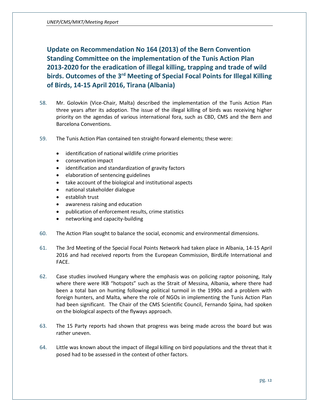<span id="page-12-0"></span>**Update on Recommendation No 164 (2013) of the Bern Convention Standing Committee on the implementation of the Tunis Action Plan 2013-2020 for the eradication of illegal killing, trapping and trade of wild birds. Outcomes of the 3rd Meeting of Special Focal Points for Illegal Killing of Birds, 14-15 April 2016, Tirana (Albania)**

- 58. Mr. Golovkin (Vice-Chair, Malta) described the implementation of the Tunis Action Plan three years after its adoption. The issue of the illegal killing of birds was receiving higher priority on the agendas of various international fora, such as CBD, CMS and the Bern and Barcelona Conventions.
- 59. The Tunis Action Plan contained ten straight-forward elements; these were:
	- identification of national wildlife crime priorities
	- conservation impact
	- identification and standardization of gravity factors
	- elaboration of sentencing guidelines
	- take account of the biological and institutional aspects
	- national stakeholder dialogue
	- establish trust
	- awareness raising and education
	- publication of enforcement results, crime statistics
	- networking and capacity-building
- 60. The Action Plan sought to balance the social, economic and environmental dimensions.
- 61. The 3rd Meeting of the Special Focal Points Network had taken place in Albania, 14-15 April 2016 and had received reports from the European Commission, BirdLife International and FACE.
- 62. Case studies involved Hungary where the emphasis was on policing raptor poisoning, Italy where there were IKB "hotspots" such as the Strait of Messina, Albania, where there had been a total ban on hunting following political turmoil in the 1990s and a problem with foreign hunters, and Malta, where the role of NGOs in implementing the Tunis Action Plan had been significant. The Chair of the CMS Scientific Council, Fernando Spina, had spoken on the biological aspects of the flyways approach.
- 63. The 15 Party reports had shown that progress was being made across the board but was rather uneven.
- 64. Little was known about the impact of illegal killing on bird populations and the threat that it posed had to be assessed in the context of other factors.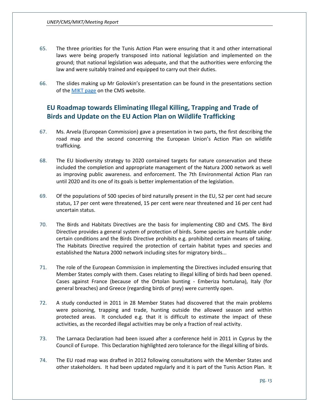- 65. The three priorities for the Tunis Action Plan were ensuring that it and other international laws were being properly transposed into national legislation and implemented on the ground; that national legislation was adequate, and that the authorities were enforcing the law and were suitably trained and equipped to carry out their duties.
- 66. The slides making up Mr Golovkin's presentation can be found in the presentations section of the [MIKT page](http://www.cms.int/en/meeting/1st-meeting-intergovernmental-task-force-illegal-killing-taking-and-trade-migratory-birds) on the CMS website.

## <span id="page-13-0"></span>**EU Roadmap towards Eliminating Illegal Killing, Trapping and Trade of Birds and Update on the EU Action Plan on Wildlife Trafficking**

- 67. Ms. Arvela (European Commission) gave a presentation in two parts, the first describing the road map and the second concerning the European Union's Action Plan on wildlife trafficking.
- 68. The EU biodiversity strategy to 2020 contained targets for nature conservation and these included the completion and appropriate management of the Natura 2000 network as well as improving public awareness. and enforcement. The 7th Environmental Action Plan ran until 2020 and its one of its goals is better implementation of the legislation.
- 69. Of the populations of 500 species of bird naturally present in the EU, 52 per cent had secure status, 17 per cent were threatened, 15 per cent were near threatened and 16 per cent had uncertain status.
- 70. The Birds and Habitats Directives are the basis for implementing CBD and CMS. The Bird Directive provides a general system of protection of birds. Some species are huntable under certain conditions and the Birds Directive prohibits e.g. prohibited certain means of taking. The Habitats Directive required the protection of certain habitat types and species and established the Natura 2000 network including sites for migratory birds...
- 71. The role of the European Commission in implementing the Directives included ensuring that Member States comply with them. Cases relating to illegal killing of birds had been opened. Cases against France (because of the Ortolan bunting - Emberiza hortulana), Italy (for general breaches) and Greece (regarding birds of prey) were currently open.
- 72. A study conducted in 2011 in 28 Member States had discovered that the main problems were poisoning, trapping and trade, hunting outside the allowed season and within protected areas. It concluded e.g. that it is difficult to estimate the impact of these activities, as the recorded illegal activities may be only a fraction of real activity.
- 73. The Larnaca Declaration had been issued after a conference held in 2011 in Cyprus by the Council of Europe. This Declaration highlighted zero tolerance for the illegal killing of birds.
- 74. The EU road map was drafted in 2012 following consultations with the Member States and other stakeholders. It had been updated regularly and it is part of the Tunis Action Plan. It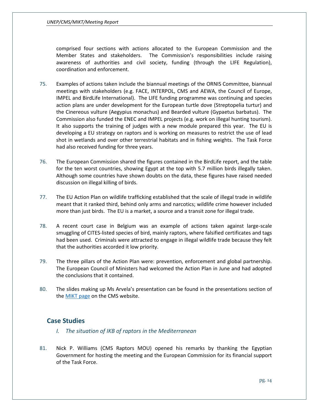#### *UNEP/CMS/MIKT/Meeting Report*

comprised four sections with actions allocated to the European Commission and the Member States and stakeholders. The Commission's responsibilities include raising awareness of authorities and civil society, funding (through the LIFE Regulation), coordination and enforcement.

- 75. Examples of actions taken include the biannual meetings of the ORNIS Committee, biannual meetings with stakeholders (e.g. FACE, INTERPOL, CMS and AEWA, the Council of Europe, IMPEL and BirdLife International). The LIFE funding programme was continuing and species action plans are under development for the European turtle dove (Streptopelia turtur) and the Cinereous vulture (Aegypius monachus) and Bearded vulture (Gypaetus barbatus). The Commission also funded the ENEC and IMPEL projects (e.g. work on illegal hunting tourism). It also supports the training of judges with a new module prepared this year. The EU is developing a EU strategy on raptors and is working on measures to restrict the use of lead shot in wetlands and over other terrestrial habitats and in fishing weights. The Task Force had also received funding for three years.
- 76. The European Commission shared the figures contained in the BirdLife report, and the table for the ten worst countries, showing Egypt at the top with 5.7 million birds illegally taken. Although some countries have shown doubts on the data, these figures have raised needed discussion on illegal killing of birds.
- 77. The EU Action Plan on wildlife trafficking established that the scale of illegal trade in wildlife meant that it ranked third, behind only arms and narcotics; wildlife crime however included more than just birds. The EU is a market, a source and a transit zone for illegal trade.
- 78. A recent court case in Belgium was an example of actions taken against large-scale smuggling of CITES-listed species of bird, mainly raptors, where falsified certificates and tags had been used. Criminals were attracted to engage in illegal wildlife trade because they felt that the authorities accorded it low priority.
- 79. The three pillars of the Action Plan were: prevention, enforcement and global partnership. The European Council of Ministers had welcomed the Action Plan in June and had adopted the conclusions that it contained.
- 80. The slides making up Ms Arvela's presentation can be found in the presentations section of th[e MIKT page](http://www.cms.int/en/meeting/1st-meeting-intergovernmental-task-force-illegal-killing-taking-and-trade-migratory-birds) on the CMS website.

## <span id="page-14-1"></span><span id="page-14-0"></span>**Case Studies**

- *I. The situation of IKB of raptors in the Mediterranean*
- 81. Nick P. Williams (CMS Raptors MOU) opened his remarks by thanking the Egyptian Government for hosting the meeting and the European Commission for its financial support of the Task Force.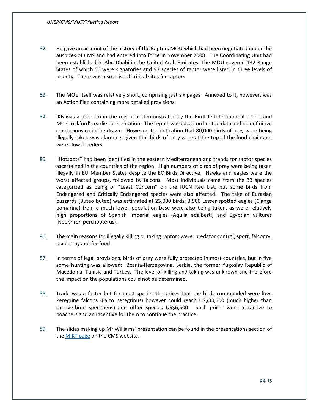- 82. He gave an account of the history of the Raptors MOU which had been negotiated under the auspices of CMS and had entered into force in November 2008. The Coordinating Unit had been established in Abu Dhabi in the United Arab Emirates. The MOU covered 132 Range States of which 56 were signatories and 93 species of raptor were listed in three levels of priority. There was also a list of critical sites for raptors.
- 83. The MOU itself was relatively short, comprising just six pages. Annexed to it, however, was an Action Plan containing more detailed provisions.
- 84. IKB was a problem in the region as demonstrated by the BirdLife International report and Ms. Crockford's earlier presentation. The report was based on limited data and no definitive conclusions could be drawn. However, the indication that 80,000 birds of prey were being illegally taken was alarming, given that birds of prey were at the top of the food chain and were slow breeders.
- 85. "Hotspots" had been identified in the eastern Mediterranean and trends for raptor species ascertained in the countries of the region. High numbers of birds of prey were being taken illegally in EU Member States despite the EC Birds Directive. Hawks and eagles were the worst affected groups, followed by falcons. Most individuals came from the 33 species categorized as being of "Least Concern" on the IUCN Red List, but some birds from Endangered and Critically Endangered species were also affected. The take of Eurasian buzzards (Buteo buteo) was estimated at 23,000 birds; 3,500 Lesser spotted eagles (Clanga pomarina) from a much lower population base were also being taken, as were relatively high proportions of Spanish imperial eagles (Aquila adalberti) and Egyptian vultures (Neophron percnopterus).
- 86. The main reasons for illegally killing or taking raptors were: predator control, sport, falconry, taxidermy and for food.
- 87. In terms of legal provisions, birds of prey were fully protected in most countries, but in five some hunting was allowed: Bosnia-Herzegovina, Serbia, the former Yugoslav Republic of Macedonia, Tunisia and Turkey. The level of killing and taking was unknown and therefore the impact on the populations could not be determined.
- 88. Trade was a factor but for most species the prices that the birds commanded were low. Peregrine falcons (Falco peregrinus) however could reach US\$33,500 (much higher than captive-bred specimens) and other species US\$6,500. Such prices were attractive to poachers and an incentive for them to continue the practice.
- 89. The slides making up Mr Williams' presentation can be found in the presentations section of th[e MIKT page](http://www.cms.int/en/meeting/1st-meeting-intergovernmental-task-force-illegal-killing-taking-and-trade-migratory-birds) on the CMS website.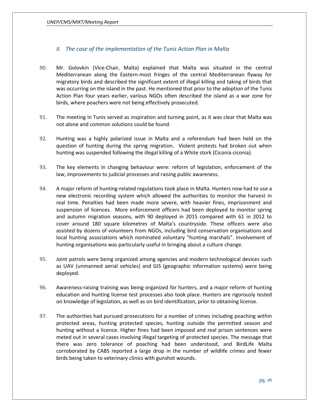## <span id="page-16-0"></span>*II. The case of the implementation of the Tunis Action Plan in Malta*

- 90. Mr. Golovkin (Vice-Chair, Malta) explained that Malta was situated in the central Mediterranean along the Eastern-most fringes of the central Mediterranean flyway for migratory birds and described the significant extent of illegal killing and taking of birds that was occurring on the island in the past. He mentioned that prior to the adoption of the Tunis Action Plan four years earlier, various NGOs often described the island as a war zone for birds, where poachers were not being effectively prosecuted.
- 91. The meeting in Tunis served as inspiration and turning point, as it was clear that Malta was not alone and common solutions could be found.
- 92. Hunting was a highly polarized issue in Malta and a referendum had been held on the question of hunting during the spring migration. Violent protests had broken out when hunting was suspended following the illegal killing of a White stork (Ciconia ciconia).
- 93. The key elements in changing behaviour were: reform of legislation, enforcement of the law, improvements to judicial processes and raising public awareness.
- 94. A major reform of hunting-related regulations took place in Malta. Hunters now had to use a new electronic recording system which allowed the authorities to monitor the harvest in real time. Penalties had been made more severe, with heavier fines, imprisonment and suspension of licences. More enforcement officers had been deployed to monitor spring and autumn migration seasons, with 90 deployed in 2015 compared with 61 in 2012 to cover around 180 square kilometres of Malta's countryside. These officers were also assisted by dozens of volunteers from NGOs, including bird conservation organisations and local hunting associations which nominated voluntary "hunting marshals". Involvement of hunting organisations was particularly useful in bringing about a culture change.
- 95. Joint patrols were being organized among agencies and modern technological devices such as UAV (unmanned aerial vehicles) and GIS (geographic information systems) were being deployed.
- 96. Awareness-raising training was being organized for hunters, and a major reform of hunting education and hunting license test processes also took place. Hunters are rigorously tested on knowledge of legislation, as well as on bird identification, prior to obtaining license.
- 97. The authorities had pursued prosecutions for a number of crimes including poaching within protected areas, hunting protected species, hunting outside the permitted season and hunting without a licence. Higher fines had been imposed and real prison sentences were meted out in several cases involving illegal targeting of protected species. The message that there was zero tolerance of poaching had been understood, and BirdLife Malta corroborated by CABS reported a large drop in the number of wildlife crimes and fewer birds being taken to veterinary clinics with gunshot wounds.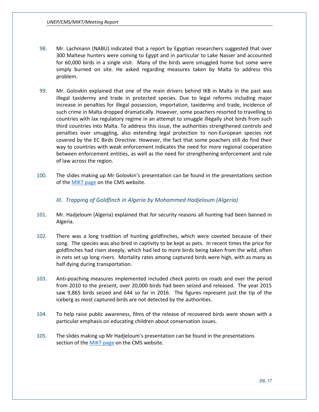- 98. Mr. Lachmann (NABU) indicated that a report by Egyptian researchers suggested that over 300 Maltese hunters were coming to Egypt and in particular to Lake Nasser and accounted for 60,000 birds in a single visit. Many of the birds were smuggled home but some were simply burned on site. He asked regarding measures taken by Malta to address this problem.
- 99. Mr. Golovkin explained that one of the main drivers behind IKB in Malta in the past was illegal taxidermy and trade in protected species. Due to legal reforms including major increase in penalties for illegal possession, importation, taxidermy and trade, incidence of such crime in Malta dropped dramatically. However, some poachers resorted to travelling to countries with lax regulatory regime in an attempt to smuggle illegally shot birds from such third countries into Malta. To address this issue, the authorities strengthened controls and penalties over smuggling, also extending legal protection to non-European species not covered by the EC Birds Directive. However, the fact that some poachers still do find their way to countries with weak enforcement indicates the need for more regional cooperation between enforcement entities, as well as the need for strengthening enforcement and rule of law across the region.
- 100. The slides making up Mr Golovkin's presentation can be found in the presentations section of the **MIKT** page on the CMS website.

#### <span id="page-17-0"></span>*III. Trapping of Goldfinch in Algeria by Mohammed Hadjeloum (Algeria)*

- 101. Mr. Hadjeloum (Algeria) explained that for security reasons all hunting had been banned in Algeria.
- 102. There was a long tradition of hunting goldfinches, which were coveted because of their song. The species was also bred in captivity to be kept as pets. In recent times the price for goldfinches had risen steeply, which had led to more birds being taken from the wild, often in nets set up long rivers. Mortality rates among captured birds were high, with as many as half dying during transportation.
- 103. Anti-poaching measures implemented included check points on roads and over the period from 2010 to the present, over 20,000 birds had been seized and released. The year 2015 saw 9,865 birds seized and 644 so far in 2016. The figures represent just the tip of the iceberg as most captured birds are not detected by the authorities.
- 104. To help raise public awareness, films of the release of recovered birds were shown with a particular emphasis on educating children about conservation issues.
- 105. The slides making up Mr Hadjeloum's presentation can be found in the presentations section of the [MIKT page](http://www.cms.int/en/meeting/1st-meeting-intergovernmental-task-force-illegal-killing-taking-and-trade-migratory-birds) on the CMS website.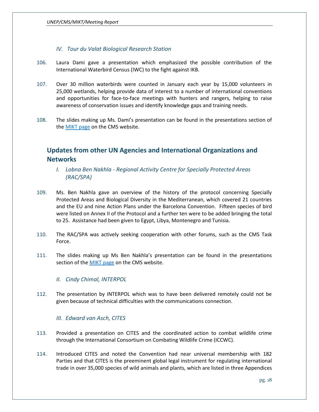## <span id="page-18-0"></span>*IV. Tour du Valat Biological Research Station*

- 106. Laura Dami gave a presentation which emphasized the possible contribution of the International Waterbird Census (IWC) to the fight against IKB.
- 107. Over 30 million waterbirds were counted in January each year by 15,000 volunteers in 25,000 wetlands, helping provide data of interest to a number of international conventions and opportunities for face-to-face meetings with hunters and rangers, helping to raise awareness of conservation issues and identify knowledge gaps and training needs.
- 108. The slides making up Ms. Dami's presentation can be found in the presentations section of the **MIKT** page on the CMS website.

# <span id="page-18-1"></span>**Updates from other UN Agencies and International Organizations and Networks**

- <span id="page-18-2"></span>*I. Lobna Ben Nakhla - Regional Activity Centre for Specially Protected Areas (RAC/SPA)*
- 109. Ms. Ben Nakhla gave an overview of the history of the protocol concerning Specially Protected Areas and Biological Diversity in the Mediterranean, which covered 21 countries and the EU and nine Action Plans under the Barcelona Convention. Fifteen species of bird were listed on Annex II of the Protocol and a further ten were to be added bringing the total to 25. Assistance had been given to Egypt, Libya, Montenegro and Tunisia.
- 110. The RAC/SPA was actively seeking cooperation with other forums, such as the CMS Task Force.
- 111. The slides making up Ms Ben Nakhla's presentation can be found in the presentations section of the [MIKT page](http://www.cms.int/en/meeting/1st-meeting-intergovernmental-task-force-illegal-killing-taking-and-trade-migratory-birds) on the CMS website.

#### <span id="page-18-3"></span>*II. Cindy Chimal, INTERPOL*

112. The presentation by INTERPOL which was to have been delivered remotely could not be given because of technical difficulties with the communications connection.

#### <span id="page-18-4"></span>*III. Edward van Asch, CITES*

- 113. Provided a presentation on CITES and the coordinated action to combat wildlife crime through the International Consortium on Combating Wildlife Crime (ICCWC).
- 114. Introduced CITES and noted the Convention had near universal membership with 182 Parties and that CITES is the preeminent global legal instrument for regulating international trade in over 35,000 species of wild animals and plants, which are listed in three Appendices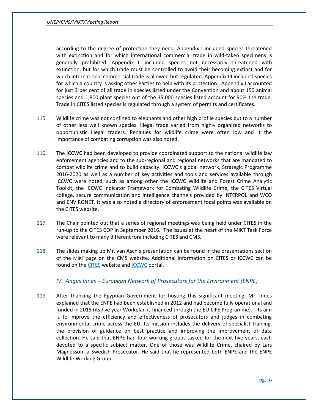according to the degree of protection they need. Appendix I included species threatened with extinction and for which international commercial trade in wild-taken specimens is generally prohibited. Appendix II included species not necessarily threatened with extinction, but for which trade must be controlled to avoid their becoming extinct and for which international commercial trade is allowed but regulated. Appendix III included species for which a country is asking other Parties to help with its protection. Appendix I accounted for just 3 per cent of all trade in species listed under the Convention and about 150 animal species and 1,800 plant species out of the 35,000 species listed account for 90% the trade. Trade in CITES listed species is regulated through a system of permits and certificates.

- 115. Wildlife crime was not confined to elephants and other high profile species but to a number of other less well known species. Illegal trade varied from highly organized networks to opportunistic illegal traders. Penalties for wildlife crime were often low and it the importance of combating corruption was also noted.
- 116. The ICCWC had been developed to provide coordinated support to the national wildlife law enforcement agencies and to the sub-regional and regional networks that are mandated to combat wildlife crime and to build capacity. ICCWC's global network, Strategic Programme 2016-2020 as well as a number of key activities and tools and services available through ICCWC were noted, such as among other the ICCWC Wildlife and Forest Crime Analytic Toolkit, the ICCWC Indicator Framework for Combating Wildlife Crime, the CITES Virtual college, secure communication and intelligence channels provided by INTERPOL and WCO and ENVIRONET. It was also noted a directory of enforcement focal points was available on the CITES website.
- 117. The Chair pointed out that a series of regional meetings was being held under CITES in the run-up to the CITES COP in September 2016. The issues at the heart of the MIKT Task Force were relevant to many different fora including CITES and CMS.
- 118. The slides making up Mr. van Asch's presentation can be found in the presentations section of the [MIKT page](http://www.cms.int/en/meeting/1st-meeting-intergovernmental-task-force-illegal-killing-taking-and-trade-migratory-birds) on the CMS website. Additional information on CITES or ICCWC can be found on th[e CITES](https://cites.org/) website and **[ICCWC](https://cites.org/eng/prog/iccwc.php)** portal.

#### <span id="page-19-0"></span>*IV. Angus Innes – European Network of Prosecutors for the Environment (ENPE)*

119. After thanking the Egyptian Government for hosting this significant meeting, Mr. Innes explained that the ENPE had been established in 2012 and had become fully operational and funded in 2015 (its five year Workplan is financed through the EU-LIFE Programme). Its aim is to improve the efficiency and effectiveness of prosecutors and judges in combating environmental crime across the EU. Its mission includes the delivery of specialist training, the provision of guidance on best practice and improving the improvement of data collection. He said that ENPE had four working groups tasked for the next five years, each devoted to a specific subject matter. One of those was Wildlife Crime, chaired by Lars Magnusson, a Swedish Prosecutor. He said that he represented both ENPE and the ENPE Wildlife Working Group.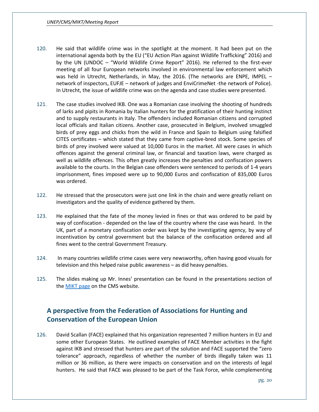- 120. He said that wildlife crime was in the spotlight at the moment. It had been put on the international agenda both by the EU ("EU Action Plan against Wildlife Trafficking" 2016) and by the UN (UNDOC – "World Wildlife Crime Report" 2016). He referred to the first-ever meeting of all four European networks involved in environmental law enforcement which was held in Utrecht, Netherlands, in May, the 2016. (The networks are ENPE, IMPEL – network of inspectors, EUFJE – network of judges and EnviCrimeNet -the network of Police). In Utrecht, the issue of wildlife crime was on the agenda and case studies were presented.
- 121. The case studies involved IKB. One was a Romanian case involving the shooting of hundreds of larks and pipits in Romania by Italian hunters for the gratification of their hunting instinct and to supply restaurants in Italy. The offenders included Romanian citizens and corrupted local officials and Italian citizens. Another case, prosecuted in Belgium, involved smuggled birds of prey eggs and chicks from the wild in France and Spain to Belgium using falsified CITES certificates – which stated that they came from captive-bred stock. Some species of birds of prey involved were valued at 10,000 Euros in the market. All were cases in which offences against the general criminal law, or financial and taxation laws, were charged as well as wildlife offences. This often greatly increases the penalties and confiscation powers available to the courts. In the Belgian case offenders were sentenced to periods of 1-4 years imprisonment, fines imposed were up to 90,000 Euros and confiscation of 835,000 Euros was ordered.
- 122. He stressed that the prosecutors were just one link in the chain and were greatly reliant on investigators and the quality of evidence gathered by them.
- 123. He explained that the fate of the money levied in fines or that was ordered to be paid by way of confiscation - depended on the law of the country where the case was heard. In the UK, part of a monetary confiscation order was kept by the investigating agency, by way of incentivation by central government but the balance of the confiscation ordered and all fines went to the central Government Treasury.
- 124. In many countries wildlife crime cases were very newsworthy, often having good visuals for television and this helped raise public awareness – as did heavy penalties.
- 125. The slides making up Mr. Innes' presentation can be found in the presentations section of the **MIKT** page on the CMS website.

# <span id="page-20-0"></span>**A perspective from the Federation of Associations for Hunting and Conservation of the European Union**

126. David Scallan (FACE) explained that his organization represented 7 million hunters in EU and some other European States. He outlined examples of FACE Member activities in the fight against IKB and stressed that hunters are part of the solution and FACE supported the "zero tolerance" approach, regardless of whether the number of birds illegally taken was 11 million or 36 million, as there were impacts on conservation and on the interests of legal hunters. He said that FACE was pleased to be part of the Task Force, while complementing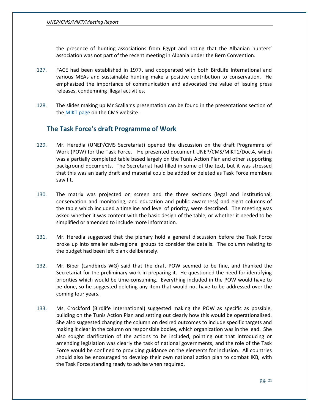the presence of hunting associations from Egypt and noting that the Albanian hunters' association was not part of the recent meeting in Albania under the Bern Convention.

- 127. FACE had been established in 1977, and cooperated with both BirdLife International and various MEAs and sustainable hunting make a positive contribution to conservation. He emphasized the importance of communication and advocated the value of issuing press releases, condemning illegal activities.
- 128. The slides making up Mr Scallan's presentation can be found in the presentations section of th[e MIKT page](http://www.cms.int/en/meeting/1st-meeting-intergovernmental-task-force-illegal-killing-taking-and-trade-migratory-birds) on the CMS website.

## <span id="page-21-0"></span>**The Task Force's draft Programme of Work**

- 129. Mr. Heredia (UNEP/CMS Secretariat) opened the discussion on the draft Programme of Work (POW) for the Task Force. He presented document UNEP/CMS/MIKT1/Doc.4, which was a partially completed table based largely on the Tunis Action Plan and other supporting background documents. The Secretariat had filled in some of the text, but it was stressed that this was an early draft and material could be added or deleted as Task Force members saw fit.
- 130. The matrix was projected on screen and the three sections (legal and institutional; conservation and monitoring; and education and public awareness) and eight columns of the table which included a timeline and level of priority, were described. The meeting was asked whether it was content with the basic design of the table, or whether it needed to be simplified or amended to include more information.
- 131. Mr. Heredia suggested that the plenary hold a general discussion before the Task Force broke up into smaller sub-regional groups to consider the details. The column relating to the budget had been left blank deliberately.
- 132. Mr. Biber (Landbirds WG) said that the draft POW seemed to be fine, and thanked the Secretariat for the preliminary work in preparing it. He questioned the need for identifying priorities which would be time-consuming. Everything included in the POW would have to be done, so he suggested deleting any item that would not have to be addressed over the coming four years.
- 133. Ms. Crockford (Birdlife International) suggested making the POW as specific as possible, building on the Tunis Action Plan and setting out clearly how this would be operationalized. She also suggested changing the column on desired outcomes to include specific targets and making it clear in the column on responsible bodies, which organization was in the lead. She also sought clarification of the actions to be included, pointing out that introducing or amending legislation was clearly the task of national governments, and the role of the Task Force would be confined to providing guidance on the elements for inclusion. All countries should also be encouraged to develop their own national action plan to combat IKB, with the Task Force standing ready to advise when required.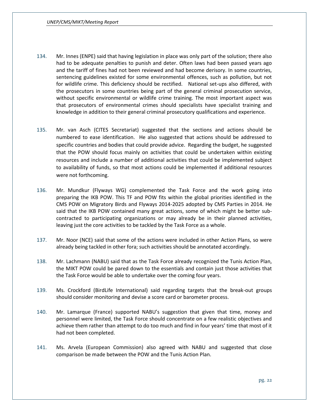- 134. Mr. Innes (ENPE) said that having legislation in place was only part of the solution; there also had to be adequate penalties to punish and deter. Often laws had been passed years ago and the tariff of fines had not been reviewed and had become derisory. In some countries, sentencing guidelines existed for some environmental offences, such as pollution, but not for wildlife crime. This deficiency should be rectified. National set-ups also differed, with the prosecutors in some countries being part of the general criminal prosecution service, without specific environmental or wildlife crime training. The most important aspect was that prosecutors of environmental crimes should specialists have specialist training and knowledge in addition to their general criminal prosecutory qualifications and experience.
- 135. Mr. van Asch (CITES Secretariat) suggested that the sections and actions should be numbered to ease identification. He also suggested that actions should be addressed to specific countries and bodies that could provide advice. Regarding the budget, he suggested that the POW should focus mainly on activities that could be undertaken within existing resources and include a number of additional activities that could be implemented subject to availability of funds, so that most actions could be implemented if additional resources were not forthcoming.
- 136. Mr. Mundkur (Flyways WG) complemented the Task Force and the work going into preparing the IKB POW. This TF and POW fits within the global priorities identified in the CMS POW on Migratory Birds and Flyways 2014-2025 adopted by CMS Parties in 2014. He said that the IKB POW contained many great actions, some of which might be better subcontracted to participating organizations or may already be in their planned activities, leaving just the core activities to be tackled by the Task Force as a whole.
- 137. Mr. Noor (NCE) said that some of the actions were included in other Action Plans, so were already being tackled in other fora; such activities should be annotated accordingly.
- 138. Mr. Lachmann (NABU) said that as the Task Force already recognized the Tunis Action Plan, the MIKT POW could be pared down to the essentials and contain just those activities that the Task Force would be able to undertake over the coming four years.
- 139. Ms. Crockford (BirdLife International) said regarding targets that the break-out groups should consider monitoring and devise a score card or barometer process.
- 140. Mr. Lamarque (France) supported NABU's suggestion that given that time, money and personnel were limited, the Task Force should concentrate on a few realistic objectives and achieve them rather than attempt to do too much and find in four years' time that most of it had not been completed.
- 141. Ms. Arvela (European Commission) also agreed with NABU and suggested that close comparison be made between the POW and the Tunis Action Plan.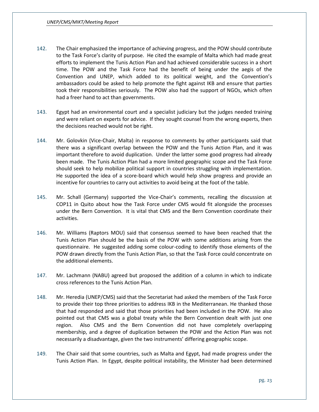- 142. The Chair emphasized the importance of achieving progress, and the POW should contribute to the Task Force's clarity of purpose. He cited the example of Malta which had made great efforts to implement the Tunis Action Plan and had achieved considerable success in a short time. The POW and the Task Force had the benefit of being under the aegis of the Convention and UNEP, which added to its political weight, and the Convention's ambassadors could be asked to help promote the fight against IKB and ensure that parties took their responsibilities seriously. The POW also had the support of NGOs, which often had a freer hand to act than governments.
- 143. Egypt had an environmental court and a specialist judiciary but the judges needed training and were reliant on experts for advice. If they sought counsel from the wrong experts, then the decisions reached would not be right.
- 144. Mr. Golovkin (Vice-Chair, Malta) in response to comments by other participants said that there was a significant overlap between the POW and the Tunis Action Plan, and it was important therefore to avoid duplication. Under the latter some good progress had already been made. The Tunis Action Plan had a more limited geographic scope and the Task Force should seek to help mobilize political support in countries struggling with implementation. He supported the idea of a score-board which would help show progress and provide an incentive for countries to carry out activities to avoid being at the foot of the table.
- 145. Mr. Schall (Germany) supported the Vice-Chair's comments, recalling the discussion at COP11 in Quito about how the Task Force under CMS would fit alongside the processes under the Bern Convention. It is vital that CMS and the Bern Convention coordinate their activities.
- 146. Mr. Williams (Raptors MOU) said that consensus seemed to have been reached that the Tunis Action Plan should be the basis of the POW with some additions arising from the questionnaire. He suggested adding some colour-coding to identify those elements of the POW drawn directly from the Tunis Action Plan, so that the Task Force could concentrate on the additional elements.
- 147. Mr. Lachmann (NABU) agreed but proposed the addition of a column in which to indicate cross references to the Tunis Action Plan.
- 148. Mr. Heredia (UNEP/CMS) said that the Secretariat had asked the members of the Task Force to provide their top three priorities to address IKB in the Mediterranean. He thanked those that had responded and said that those priorities had been included in the POW. He also pointed out that CMS was a global treaty while the Bern Convention dealt with just one region. Also CMS and the Bern Convention did not have completely overlapping membership, and a degree of duplication between the POW and the Action Plan was not necessarily a disadvantage, given the two instruments' differing geographic scope.
- 149. The Chair said that some countries, such as Malta and Egypt, had made progress under the Tunis Action Plan. In Egypt, despite political instability, the Minister had been determined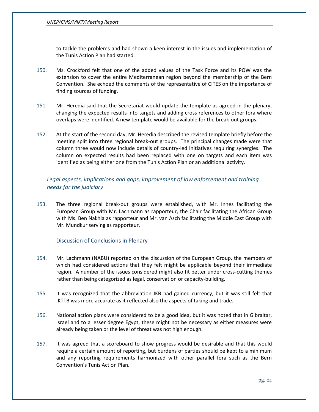to tackle the problems and had shown a keen interest in the issues and implementation of the Tunis Action Plan had started.

- 150. Ms. Crockford felt that one of the added values of the Task Force and its POW was the extension to cover the entire Mediterranean region beyond the membership of the Bern Convention. She echoed the comments of the representative of CITES on the importance of finding sources of funding.
- 151. Mr. Heredia said that the Secretariat would update the template as agreed in the plenary, changing the expected results into targets and adding cross references to other fora where overlaps were identified. A new template would be available for the break-out groups.
- 152. At the start of the second day, Mr. Heredia described the revised template briefly before the meeting split into three regional break-out groups. The principal changes made were that column three would now include details of country-led initiatives requiring synergies. The column on expected results had been replaced with one on targets and each item was identified as being either one from the Tunis Action Plan or an additional activity.

## <span id="page-24-0"></span>*Legal aspects, implications and gaps, improvement of law enforcement and training needs for the judiciary*

153. The three regional break-out groups were established, with Mr. Innes facilitating the European Group with Mr. Lachmann as rapporteur, the Chair facilitating the African Group with Ms. Ben Nakhla as rapporteur and Mr. van Asch facilitating the Middle East Group with Mr. Mundkur serving as rapporteur.

#### <span id="page-24-1"></span>Discussion of Conclusions in Plenary

- 154. Mr. Lachmann (NABU) reported on the discussion of the European Group, the members of which had considered actions that they felt might be applicable beyond their immediate region. A number of the issues considered might also fit better under cross-cutting themes rather than being categorized as legal, conservation or capacity-building.
- 155. It was recognized that the abbreviation IKB had gained currency, but it was still felt that IKTTB was more accurate as it reflected also the aspects of taking and trade.
- 156. National action plans were considered to be a good idea, but it was noted that in Gibraltar, Israel and to a lesser degree Egypt, these might not be necessary as either measures were already being taken or the level of threat was not high enough.
- 157. It was agreed that a scoreboard to show progress would be desirable and that this would require a certain amount of reporting, but burdens of parties should be kept to a minimum and any reporting requirements harmonized with other parallel fora such as the Bern Convention's Tunis Action Plan.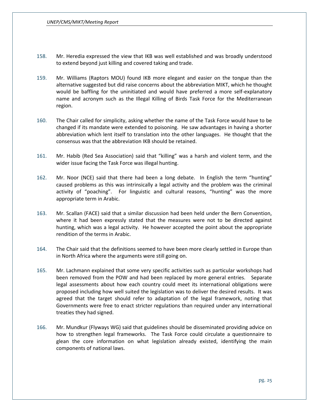- 158. Mr. Heredia expressed the view that IKB was well established and was broadly understood to extend beyond just killing and covered taking and trade.
- 159. Mr. Williams (Raptors MOU) found IKB more elegant and easier on the tongue than the alternative suggested but did raise concerns about the abbreviation MIKT, which he thought would be baffling for the uninitiated and would have preferred a more self-explanatory name and acronym such as the Illegal Killing of Birds Task Force for the Mediterranean region.
- 160. The Chair called for simplicity, asking whether the name of the Task Force would have to be changed if its mandate were extended to poisoning. He saw advantages in having a shorter abbreviation which lent itself to translation into the other languages. He thought that the consensus was that the abbreviation IKB should be retained.
- 161. Mr. Habib (Red Sea Association) said that "killing" was a harsh and violent term, and the wider issue facing the Task Force was illegal hunting.
- 162. Mr. Noor (NCE) said that there had been a long debate. In English the term "hunting" caused problems as this was intrinsically a legal activity and the problem was the criminal activity of "poaching". For linguistic and cultural reasons, "hunting" was the more appropriate term in Arabic.
- 163. Mr. Scallan (FACE) said that a similar discussion had been held under the Bern Convention, where it had been expressly stated that the measures were not to be directed against hunting, which was a legal activity. He however accepted the point about the appropriate rendition of the terms in Arabic.
- 164. The Chair said that the definitions seemed to have been more clearly settled in Europe than in North Africa where the arguments were still going on.
- 165. Mr. Lachmann explained that some very specific activities such as particular workshops had been removed from the POW and had been replaced by more general entries. Separate legal assessments about how each country could meet its international obligations were proposed including how well suited the legislation was to deliver the desired results. It was agreed that the target should refer to adaptation of the legal framework, noting that Governments were free to enact stricter regulations than required under any international treaties they had signed.
- 166. Mr. Mundkur (Flyways WG) said that guidelines should be disseminated providing advice on how to strengthen legal frameworks. The Task Force could circulate a questionnaire to glean the core information on what legislation already existed, identifying the main components of national laws.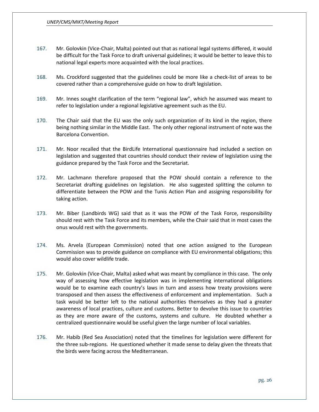- 167. Mr. Golovkin (Vice-Chair, Malta) pointed out that as national legal systems differed, it would be difficult for the Task Force to draft universal guidelines; it would be better to leave this to national legal experts more acquainted with the local practices.
- 168. Ms. Crockford suggested that the guidelines could be more like a check-list of areas to be covered rather than a comprehensive guide on how to draft legislation.
- 169. Mr. Innes sought clarification of the term "regional law", which he assumed was meant to refer to legislation under a regional legislative agreement such as the EU.
- 170. The Chair said that the EU was the only such organization of its kind in the region, there being nothing similar in the Middle East. The only other regional instrument of note was the Barcelona Convention.
- 171. Mr. Noor recalled that the BirdLife International questionnaire had included a section on legislation and suggested that countries should conduct their review of legislation using the guidance prepared by the Task Force and the Secretariat.
- 172. Mr. Lachmann therefore proposed that the POW should contain a reference to the Secretariat drafting guidelines on legislation. He also suggested splitting the column to differentiate between the POW and the Tunis Action Plan and assigning responsibility for taking action.
- 173. Mr. Biber (Landbirds WG) said that as it was the POW of the Task Force, responsibility should rest with the Task Force and its members, while the Chair said that in most cases the onus would rest with the governments.
- 174. Ms. Arvela (European Commission) noted that one action assigned to the European Commission was to provide guidance on compliance with EU environmental obligations; this would also cover wildlife trade.
- 175. Mr. Golovkin (Vice-Chair, Malta) asked what was meant by compliance in this case. The only way of assessing how effective legislation was in implementing international obligations would be to examine each country's laws in turn and assess how treaty provisions were transposed and then assess the effectiveness of enforcement and implementation. Such a task would be better left to the national authorities themselves as they had a greater awareness of local practices, culture and customs. Better to devolve this issue to countries as they are more aware of the customs, systems and culture. He doubted whether a centralized questionnaire would be useful given the large number of local variables.
- 176. Mr. Habib (Red Sea Association) noted that the timelines for legislation were different for the three sub-regions. He questioned whether it made sense to delay given the threats that the birds were facing across the Mediterranean.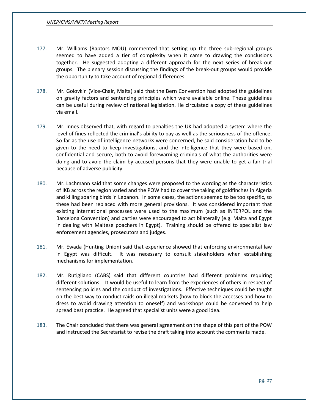- 177. Mr. Williams (Raptors MOU) commented that setting up the three sub-regional groups seemed to have added a tier of complexity when it came to drawing the conclusions together. He suggested adopting a different approach for the next series of break-out groups. The plenary session discussing the findings of the break-out groups would provide the opportunity to take account of regional differences.
- 178. Mr. Golovkin (Vice-Chair, Malta) said that the Bern Convention had adopted the guidelines on gravity factors and sentencing principles which were available online. These guidelines can be useful during review of national legislation. He circulated a copy of these guidelines via email.
- 179. Mr. Innes observed that, with regard to penalties the UK had adopted a system where the level of fines reflected the criminal's ability to pay as well as the seriousness of the offence. So far as the use of intelligence networks were concerned, he said consideration had to be given to the need to keep investigations, and the intelligence that they were based on, confidential and secure, both to avoid forewarning criminals of what the authorities were doing and to avoid the claim by accused persons that they were unable to get a fair trial because of adverse publicity.
- 180. Mr. Lachmann said that some changes were proposed to the wording as the characteristics of IKB across the region varied and the POW had to cover the taking of goldfinches in Algeria and killing soaring birds in Lebanon. In some cases, the actions seemed to be too specific, so these had been replaced with more general provisions. It was considered important that existing international processes were used to the maximum (such as INTERPOL and the Barcelona Convention) and parties were encouraged to act bilaterally (e.g. Malta and Egypt in dealing with Maltese poachers in Egypt). Training should be offered to specialist law enforcement agencies, prosecutors and judges.
- 181. Mr. Ewada (Hunting Union) said that experience showed that enforcing environmental law in Egypt was difficult. It was necessary to consult stakeholders when establishing mechanisms for implementation.
- 182. Mr. Rutigliano (CABS) said that different countries had different problems requiring different solutions. It would be useful to learn from the experiences of others in respect of sentencing policies and the conduct of investigations. Effective techniques could be taught on the best way to conduct raids on illegal markets (how to block the accesses and how to dress to avoid drawing attention to oneself) and workshops could be convened to help spread best practice. He agreed that specialist units were a good idea.
- 183. The Chair concluded that there was general agreement on the shape of this part of the POW and instructed the Secretariat to revise the draft taking into account the comments made.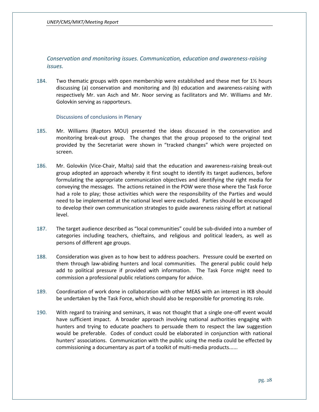<span id="page-28-0"></span>*Conservation and monitoring issues. Communication, education and awareness-raising issues.*

184. Two thematic groups with open membership were established and these met for 1½ hours discussing (a) conservation and monitoring and (b) education and awareness-raising with respectively Mr. van Asch and Mr. Noor serving as facilitators and Mr. Williams and Mr. Golovkin serving as rapporteurs.

<span id="page-28-1"></span>Discussions of conclusions in Plenary

- 185. Mr. Williams (Raptors MOU) presented the ideas discussed in the conservation and monitoring break-out group. The changes that the group proposed to the original text provided by the Secretariat were shown in "tracked changes" which were projected on screen.
- 186. Mr. Golovkin (Vice-Chair, Malta) said that the education and awareness-raising break-out group adopted an approach whereby it first sought to identify its target audiences, before formulating the appropriate communication objectives and identifying the right media for conveying the messages. The actions retained in the POW were those where the Task Force had a role to play; those activities which were the responsibility of the Parties and would need to be implemented at the national level were excluded. Parties should be encouraged to develop their own communication strategies to guide awareness raising effort at national level.
- 187. The target audience described as "local communities" could be sub-divided into a number of categories including teachers, chieftains, and religious and political leaders, as well as persons of different age groups.
- 188. Consideration was given as to how best to address poachers. Pressure could be exerted on them through law-abiding hunters and local communities. The general public could help add to political pressure if provided with information. The Task Force might need to commission a professional public relations company for advice.
- 189. Coordination of work done in collaboration with other MEAS with an interest in IKB should be undertaken by the Task Force, which should also be responsible for promoting its role.
- 190. With regard to training and seminars, it was not thought that a single one-off event would have sufficient impact. A broader approach involving national authorities engaging with hunters and trying to educate poachers to persuade them to respect the law suggestion would be preferable. Codes of conduct could be elaborated in conjunction with national hunters' associations. Communication with the public using the media could be effected by commissioning a documentary as part of a toolkit of multi-media products......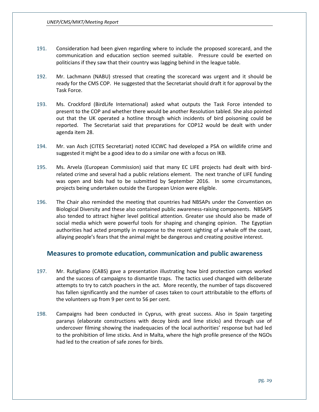- 191. Consideration had been given regarding where to include the proposed scorecard, and the communication and education section seemed suitable. Pressure could be exerted on politicians if they saw that their country was lagging behind in the league table.
- 192. Mr. Lachmann (NABU) stressed that creating the scorecard was urgent and it should be ready for the CMS COP. He suggested that the Secretariat should draft it for approval by the Task Force.
- 193. Ms. Crockford (BirdLife International) asked what outputs the Task Force intended to present to the COP and whether there would be another Resolution tabled. She also pointed out that the UK operated a hotline through which incidents of bird poisoning could be reported. The Secretariat said that preparations for COP12 would be dealt with under agenda item 28.
- 194. Mr. van Asch (CITES Secretariat) noted ICCWC had developed a PSA on wildlife crime and suggested it might be a good idea to do a similar one with a focus on IKB.
- 195. Ms. Arvela (European Commission) said that many EC LIFE projects had dealt with birdrelated crime and several had a public relations element. The next tranche of LIFE funding was open and bids had to be submitted by September 2016. In some circumstances, projects being undertaken outside the European Union were eligible.
- 196. The Chair also reminded the meeting that countries had NBSAPs under the Convention on Biological Diversity and these also contained public awareness-raising components. NBSAPS also tended to attract higher level political attention. Greater use should also be made of social media which were powerful tools for shaping and changing opinion. The Egyptian authorities had acted promptly in response to the recent sighting of a whale off the coast, allaying people's fears that the animal might be dangerous and creating positive interest.

### <span id="page-29-0"></span>**Measures to promote education, communication and public awareness**

- 197. Mr. Rutigliano (CABS) gave a presentation illustrating how bird protection camps worked and the success of campaigns to dismantle traps. The tactics used changed with deliberate attempts to try to catch poachers in the act. More recently, the number of taps discovered has fallen significantly and the number of cases taken to court attributable to the efforts of the volunteers up from 9 per cent to 56 per cent.
- 198. Campaigns had been conducted in Cyprus, with great success. Also in Spain targeting paranys (elaborate constructions with decoy birds and lime sticks) and through use of undercover filming showing the inadequacies of the local authorities' response but had led to the prohibition of lime sticks. And in Malta, where the high profile presence of the NGOs had led to the creation of safe zones for birds.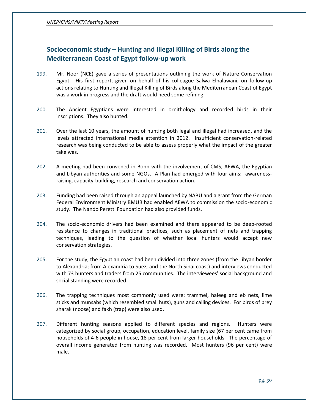# <span id="page-30-0"></span>**Socioeconomic study – Hunting and Illegal Killing of Birds along the Mediterranean Coast of Egypt follow-up work**

- 199. Mr. Noor (NCE) gave a series of presentations outlining the work of Nature Conservation Egypt. His first report, given on behalf of his colleague Salwa Elhalawani, on follow-up actions relating to Hunting and Illegal Killing of Birds along the Mediterranean Coast of Egypt was a work in progress and the draft would need some refining.
- 200. The Ancient Egyptians were interested in ornithology and recorded birds in their inscriptions. They also hunted.
- 201. Over the last 10 years, the amount of hunting both legal and illegal had increased, and the levels attracted international media attention in 2012. Insufficient conservation-related research was being conducted to be able to assess properly what the impact of the greater take was.
- 202. A meeting had been convened in Bonn with the involvement of CMS, AEWA, the Egyptian and Libyan authorities and some NGOs. A Plan had emerged with four aims: awarenessraising, capacity-building, research and conservation action.
- 203. Funding had been raised through an appeal launched by NABU and a grant from the German Federal Environment Ministry BMUB had enabled AEWA to commission the socio-economic study. The Nando Peretti Foundation had also provided funds.
- 204. The socio-economic drivers had been examined and there appeared to be deep-rooted resistance to changes in traditional practices, such as placement of nets and trapping techniques, leading to the question of whether local hunters would accept new conservation strategies.
- 205. For the study, the Egyptian coast had been divided into three zones (from the Libyan border to Alexandria; from Alexandria to Suez; and the North Sinai coast) and interviews conducted with 73 hunters and traders from 25 communities. The interviewees' social background and social standing were recorded.
- 206. The trapping techniques most commonly used were: trammel, haleeg and eb nets, lime sticks and munsabs (which resembled small huts), guns and calling devices. For birds of prey sharak (noose) and fakh (trap) were also used.
- 207. Different hunting seasons applied to different species and regions. Hunters were categorized by social group, occupation, education level, family size (67 per cent came from households of 4-6 people in house, 18 per cent from larger households. The percentage of overall income generated from hunting was recorded. Most hunters (96 per cent) were male.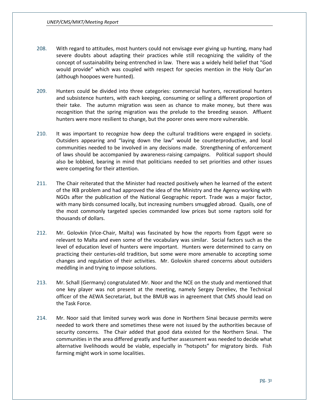- 208. With regard to attitudes, most hunters could not envisage ever giving up hunting, many had severe doubts about adapting their practices while still recognizing the validity of the concept of sustainability being entrenched in law. There was a widely held belief that "God would provide" which was coupled with respect for species mention in the Holy Qur'an (although hoopoes were hunted).
- 209. Hunters could be divided into three categories: commercial hunters, recreational hunters and subsistence hunters, with each keeping, consuming or selling a different proportion of their take. The autumn migration was seen as chance to make money, but there was recognition that the spring migration was the prelude to the breeding season. Affluent hunters were more resilient to change, but the poorer ones were more vulnerable.
- 210. It was important to recognize how deep the cultural traditions were engaged in society. Outsiders appearing and "laying down the law" would be counterproductive, and local communities needed to be involved in any decisions made. Strengthening of enforcement of laws should be accompanied by awareness-raising campaigns. Political support should also be lobbied, bearing in mind that politicians needed to set priorities and other issues were competing for their attention.
- 211. The Chair reiterated that the Minister had reacted positively when he learned of the extent of the IKB problem and had approved the idea of the Ministry and the Agency working with NGOs after the publication of the National Geographic report. Trade was a major factor, with many birds consumed locally, but increasing numbers smuggled abroad. Quails, one of the most commonly targeted species commanded low prices but some raptors sold for thousands of dollars.
- 212. Mr. Golovkin (Vice-Chair, Malta) was fascinated by how the reports from Egypt were so relevant to Malta and even some of the vocabulary was similar. Social factors such as the level of education level of hunters were important. Hunters were determined to carry on practicing their centuries-old tradition, but some were more amenable to accepting some changes and regulation of their activities. Mr. Golovkin shared concerns about outsiders meddling in and trying to impose solutions.
- 213. Mr. Schall (Germany) congratulated Mr. Noor and the NCE on the study and mentioned that one key player was not present at the meeting, namely Sergey Dereliev, the Technical officer of the AEWA Secretariat, but the BMUB was in agreement that CMS should lead on the Task Force.
- 214. Mr. Noor said that limited survey work was done in Northern Sinai because permits were needed to work there and sometimes these were not issued by the authorities because of security concerns. The Chair added that good data existed for the Northern Sinai. The communities in the area differed greatly and further assessment was needed to decide what alternative livelihoods would be viable, especially in "hotspots" for migratory birds. Fish farming might work in some localities.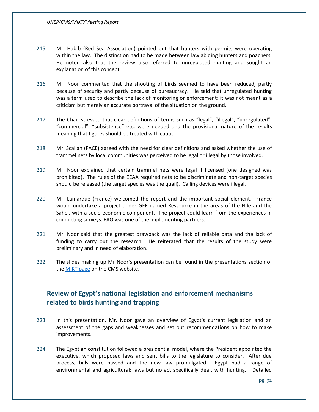- 215. Mr. Habib (Red Sea Association) pointed out that hunters with permits were operating within the law. The distinction had to be made between law abiding hunters and poachers. He noted also that the review also referred to unregulated hunting and sought an explanation of this concept.
- 216. Mr. Noor commented that the shooting of birds seemed to have been reduced, partly because of security and partly because of bureaucracy. He said that unregulated hunting was a term used to describe the lack of monitoring or enforcement: it was not meant as a criticism but merely an accurate portrayal of the situation on the ground.
- 217. The Chair stressed that clear definitions of terms such as "legal", "illegal", "unregulated", "commercial", "subsistence" etc. were needed and the provisional nature of the results meaning that figures should be treated with caution.
- 218. Mr. Scallan (FACE) agreed with the need for clear definitions and asked whether the use of trammel nets by local communities was perceived to be legal or illegal by those involved.
- 219. Mr. Noor explained that certain trammel nets were legal if licensed (one designed was prohibited). The rules of the EEAA required nets to be discriminate and non-target species should be released (the target species was the quail). Calling devices were illegal.
- 220. Mr. Lamarque (France) welcomed the report and the important social element. France would undertake a project under GEF named Ressource in the areas of the Nile and the Sahel, with a socio-economic component. The project could learn from the experiences in conducting surveys. FAO was one of the implementing partners.
- 221. Mr. Noor said that the greatest drawback was the lack of reliable data and the lack of funding to carry out the research. He reiterated that the results of the study were preliminary and in need of elaboration.
- 222. The slides making up Mr Noor's presentation can be found in the presentations section of th[e MIKT page](http://www.cms.int/en/meeting/1st-meeting-intergovernmental-task-force-illegal-killing-taking-and-trade-migratory-birds) on the CMS website.

# <span id="page-32-0"></span>**Review of Egypt's national legislation and enforcement mechanisms related to birds hunting and trapping**

- 223. In this presentation, Mr. Noor gave an overview of Egypt's current legislation and an assessment of the gaps and weaknesses and set out recommendations on how to make improvements.
- 224. The Egyptian constitution followed a presidential model, where the President appointed the executive, which proposed laws and sent bills to the legislature to consider. After due process, bills were passed and the new law promulgated. Egypt had a range of environmental and agricultural; laws but no act specifically dealt with hunting. Detailed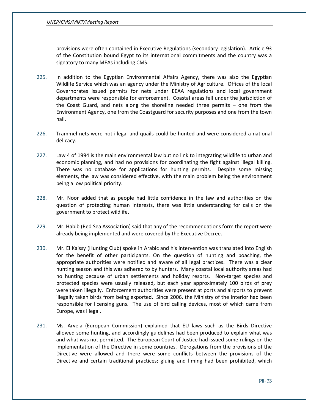provisions were often contained in Executive Regulations (secondary legislation). Article 93 of the Constitution bound Egypt to its international commitments and the country was a signatory to many MEAs including CMS.

- 225. In addition to the Egyptian Environmental Affairs Agency, there was also the Egyptian Wildlife Service which was an agency under the Ministry of Agriculture. Offices of the local Governorates issued permits for nets under EEAA regulations and local government departments were responsible for enforcement. Coastal areas fell under the jurisdiction of the Coast Guard, and nets along the shoreline needed three permits – one from the Environment Agency, one from the Coastguard for security purposes and one from the town hall.
- 226. Trammel nets were not illegal and quails could be hunted and were considered a national delicacy.
- 227. Law 4 of 1994 is the main environmental law but no link to integrating wildlife to urban and economic planning, and had no provisions for coordinating the fight against illegal killing. There was no database for applications for hunting permits. Despite some missing elements, the law was considered effective, with the main problem being the environment being a low political priority.
- 228. Mr. Noor added that as people had little confidence in the law and authorities on the question of protecting human interests, there was little understanding for calls on the government to protect wildlife.
- 229. Mr. Habib (Red Sea Association) said that any of the recommendations form the report were already being implemented and were covered by the Executive Decree.
- 230. Mr. El Kaissy (Hunting Club) spoke in Arabic and his intervention was translated into English for the benefit of other participants. On the question of hunting and poaching, the appropriate authorities were notified and aware of all legal practices. There was a clear hunting season and this was adhered to by hunters. Many coastal local authority areas had no hunting because of urban settlements and holiday resorts. Non-target species and protected species were usually released, but each year approximately 100 birds of prey were taken illegally. Enforcement authorities were present at ports and airports to prevent illegally taken birds from being exported. Since 2006, the Ministry of the Interior had been responsible for licensing guns. The use of bird calling devices, most of which came from Europe, was illegal.
- 231. Ms. Arvela (European Commission) explained that EU laws such as the Birds Directive allowed some hunting, and accordingly guidelines had been produced to explain what was and what was not permitted. The European Court of Justice had issued some rulings on the implementation of the Directive in some countries. Derogations from the provisions of the Directive were allowed and there were some conflicts between the provisions of the Directive and certain traditional practices; gluing and liming had been prohibited, which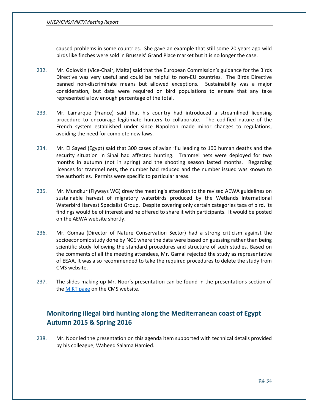caused problems in some countries. She gave an example that still some 20 years ago wild birds like finches were sold in Brussels' Grand Place market but it is no longer the case.

- 232. Mr. Golovkin (Vice-Chair, Malta) said that the European Commission's guidance for the Birds Directive was very useful and could be helpful to non-EU countries. The Birds Directive banned non-discriminate means but allowed exceptions. Sustainability was a major consideration, but data were required on bird populations to ensure that any take represented a low enough percentage of the total.
- 233. Mr. Lamarque (France) said that his country had introduced a streamlined licensing procedure to encourage legitimate hunters to collaborate. The codified nature of the French system established under since Napoleon made minor changes to regulations, avoiding the need for complete new laws.
- 234. Mr. El Sayed (Egypt) said that 300 cases of avian 'flu leading to 100 human deaths and the security situation in Sinai had affected hunting. Trammel nets were deployed for two months in autumn (not in spring) and the shooting season lasted months. Regarding licences for trammel nets, the number had reduced and the number issued was known to the authorities. Permits were specific to particular areas.
- 235. Mr. Mundkur (Flyways WG) drew the meeting's attention to the revised AEWA guidelines on sustainable harvest of migratory waterbirds produced by the Wetlands International Waterbird Harvest Specialist Group. Despite covering only certain categories taxa of bird, its findings would be of interest and he offered to share it with participants. It would be posted on the AEWA website shortly.
- 236. Mr. Gomaa (Director of Nature Conservation Sector) had a strong criticism against the socioeconomic study done by NCE where the data were based on guessing rather than being scientific study following the standard procedures and structure of such studies. Based on the comments of all the meeting attendees, Mr. Gamal rejected the study as representative of EEAA. It was also recommended to take the required procedures to delete the study from CMS website.
- 237. The slides making up Mr. Noor's presentation can be found in the presentations section of the **MIKT** page on the CMS website.

# <span id="page-34-0"></span>**Monitoring illegal bird hunting along the Mediterranean coast of Egypt Autumn 2015 & Spring 2016**

238. Mr. Noor led the presentation on this agenda item supported with technical details provided by his colleague, Waheed Salama Hamied.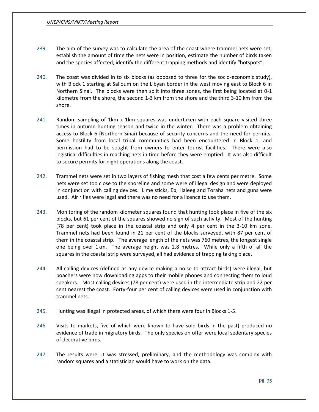- 239. The aim of the survey was to calculate the area of the coast where trammel nets were set, establish the amount of time the nets were in position, estimate the number of birds taken and the species affected, identify the different trapping methods and identify "hotspots".
- 240. The coast was divided in to six blocks (as opposed to three for the socio-economic study), with Block 1 starting at Salloum on the Libyan border in the west moving east to Block 6 in Northern Sinai. The blocks were then split into three zones, the first being located at 0-1 kilometre from the shore, the second 1-3 km from the shore and the third 3-10 km from the shore.
- 241. Random sampling of 1km x 1km squares was undertaken with each square visited three times in autumn hunting season and twice in the winter. There was a problem obtaining access to Block 6 (Northern Sinai) because of security concerns and the need for permits. Some hostility from local tribal communities had been encountered in Block 1, and permission had to be sought from owners to enter tourist facilities. There were also logistical difficulties in reaching nets in time before they were emptied. It was also difficult to secure permits for night operations along the coast.
- 242. Trammel nets were set in two layers of fishing mesh that cost a few cents per metre. Some nets were set too close to the shoreline and some were of illegal design and were deployed in conjunction with calling devices. Lime sticks, Eb, Haleeg and Toraha nets and guns were used. Air rifles were legal and there was no need for a licence to use them.
- 243. Monitoring of the random kilometer squares found that hunting took place in five of the six blocks, but 61 per cent of the squares showed no sign of such activity. Most of the hunting (78 per cent) took place in the coastal strip and only 4 per cent in the 3-10 km zone. Trammel nets had been found in 21 per cent of the blocks surveyed, with 87 per cent of them in the coastal strip. The average length of the nets was 760 metres, the longest single one being over 1km. The average height was 2.8 metres. While only a fifth of all the squares in the coastal strip were surveyed, all had evidence of trapping taking place.
- 244. All calling devices (defined as any device making a noise to attract birds) were illegal, but poachers were now downloading apps to their mobile phones and connecting them to loud speakers. Most calling devices (78 per cent) were used in the intermediate strip and 22 per cent nearest the coast. Forty-four per cent of calling devices were used in conjunction with trammel nets.
- 245. Hunting was illegal in protected areas, of which there were four in Blocks 1-5.
- 246. Visits to markets, five of which were known to have sold birds in the past) produced no evidence of trade in migratory birds. The only species on offer were local sedentary species of decorative birds.
- 247. The results were, it was stressed, preliminary, and the methodology was complex with random squares and a statistician would have to work on the data.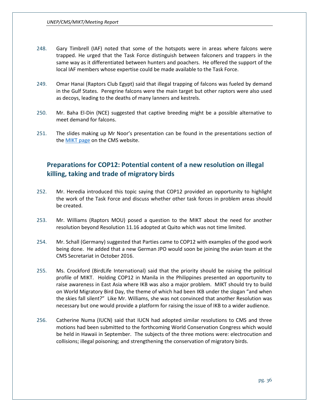- 248. Gary Timbrell (IAF) noted that some of the hotspots were in areas where falcons were trapped. He urged that the Task Force distinguish between falconers and trappers in the same way as it differentiated between hunters and poachers. He offered the support of the local IAF members whose expertise could be made available to the Task Force.
- 249. Omar Hanai (Raptors Club Egypt) said that illegal trapping of falcons was fueled by demand in the Gulf States. Peregrine falcons were the main target but other raptors were also used as decoys, leading to the deaths of many lanners and kestrels.
- 250. Mr. Baha El-Din (NCE) suggested that captive breeding might be a possible alternative to meet demand for falcons.
- 251. The slides making up Mr Noor's presentation can be found in the presentations section of th[e MIKT page](http://www.cms.int/en/meeting/1st-meeting-intergovernmental-task-force-illegal-killing-taking-and-trade-migratory-birds) on the CMS website.

## <span id="page-36-0"></span>**Preparations for COP12: Potential content of a new resolution on illegal killing, taking and trade of migratory birds**

- 252. Mr. Heredia introduced this topic saying that COP12 provided an opportunity to highlight the work of the Task Force and discuss whether other task forces in problem areas should be created.
- 253. Mr. Williams (Raptors MOU) posed a question to the MIKT about the need for another resolution beyond Resolution 11.16 adopted at Quito which was not time limited.
- 254. Mr. Schall (Germany) suggested that Parties came to COP12 with examples of the good work being done. He added that a new German JPO would soon be joining the avian team at the CMS Secretariat in October 2016.
- 255. Ms. Crockford (BirdLife International) said that the priority should be raising the political profile of MIKT. Holding COP12 in Manila in the Philippines presented an opportunity to raise awareness in East Asia where IKB was also a major problem. MIKT should try to build on World Migratory Bird Day, the theme of which had been IKB under the slogan "and when the skies fall silent?" Like Mr. Williams, she was not convinced that another Resolution was necessary but one would provide a platform for raising the issue of IKB to a wider audience.
- 256. Catherine Numa (IUCN) said that IUCN had adopted similar resolutions to CMS and three motions had been submitted to the forthcoming World Conservation Congress which would be held in Hawaii in September. The subjects of the three motions were: electrocution and collisions; illegal poisoning; and strengthening the conservation of migratory birds.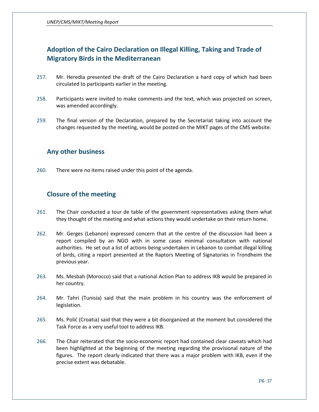# <span id="page-37-0"></span>**Adoption of the Cairo Declaration on Illegal Killing, Taking and Trade of Migratory Birds in the Mediterranean**

- 257. Mr. Heredia presented the draft of the Cairo Declaration a hard copy of which had been circulated to participants earlier in the meeting.
- 258. Participants were invited to make comments and the text, which was projected on screen, was amended accordingly.
- 259. The final version of the Declaration, prepared by the Secretariat taking into account the changes requested by the meeting, would be posted on the MIKT pages of the CMS website.

## <span id="page-37-1"></span>**Any other business**

260. There were no items raised under this point of the agenda.

## <span id="page-37-2"></span>**Closure of the meeting**

- 261. The Chair conducted a tour de table of the government representatives asking them what they thought of the meeting and what actions they would undertake on their return home.
- 262. Mr. Gerges (Lebanon) expressed concern that at the centre of the discussion had been a report compiled by an NGO with in some cases minimal consultation with national authorities. He set out a list of actions being undertaken in Lebanon to combat illegal killing of birds, citing a report presented at the Raptors Meeting of Signatories in Trondheim the previous year.
- 263. Ms. Mesbah (Morocco) said that a national Action Plan to address IKB would be prepared in her country.
- 264. Mr. Tahri (Tunisia) said that the main problem in his country was the enforcement of legislation.
- 265. Ms. Polić (Croatia) said that they were a bit disorganized at the moment but considered the Task Force as a very useful tool to address IKB.
- 266. The Chair reiterated that the socio-economic report had contained clear caveats which had been highlighted at the beginning of the meeting regarding the provisional nature of the figures. The report clearly indicated that there was a major problem with IKB, even if the precise extent was debatable.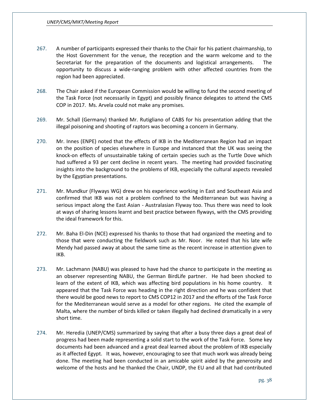- 267. A number of participants expressed their thanks to the Chair for his patient chairmanship, to the Host Government for the venue, the reception and the warm welcome and to the Secretariat for the preparation of the documents and logistical arrangements. The opportunity to discuss a wide-ranging problem with other affected countries from the region had been appreciated.
- 268. The Chair asked if the European Commission would be willing to fund the second meeting of the Task Force (not necessarily in Egypt) and possibly finance delegates to attend the CMS COP in 2017. Ms. Arvela could not make any promises.
- 269. Mr. Schall (Germany) thanked Mr. Rutigliano of CABS for his presentation adding that the illegal poisoning and shooting of raptors was becoming a concern in Germany.
- 270. Mr. Innes (ENPE) noted that the effects of IKB in the Mediterranean Region had an impact on the position of species elsewhere in Europe and instanced that the UK was seeing the knock-on effects of unsustainable taking of certain species such as the Turtle Dove which had suffered a 93 per cent decline in recent years. The meeting had provided fascinating insights into the background to the problems of IKB, especially the cultural aspects revealed by the Egyptian presentations.
- 271. Mr. Mundkur (Flyways WG) drew on his experience working in East and Southeast Asia and confirmed that IKB was not a problem confined to the Mediterranean but was having a serious impact along the East Asian - Australasian Flyway too. Thus there was need to look at ways of sharing lessons learnt and best practice between flyways, with the CMS providing the ideal framework for this.
- 272. Mr. Baha El-Din (NCE) expressed his thanks to those that had organized the meeting and to those that were conducting the fieldwork such as Mr. Noor. He noted that his late wife Mendy had passed away at about the same time as the recent increase in attention given to IKB.
- 273. Mr. Lachmann (NABU) was pleased to have had the chance to participate in the meeting as an observer representing NABU, the German BirdLife partner. He had been shocked to learn of the extent of IKB, which was affecting bird populations in his home country. It appeared that the Task Force was heading in the right direction and he was confident that there would be good news to report to CMS COP12 in 2017 and the efforts of the Task Force for the Mediterranean would serve as a model for other regions. He cited the example of Malta, where the number of birds killed or taken illegally had declined dramatically in a very short time.
- 274. Mr. Heredia (UNEP/CMS) summarized by saying that after a busy three days a great deal of progress had been made representing a solid start to the work of the Task Force. Some key documents had been advanced and a great deal learned about the problem of IKB especially as it affected Egypt. It was, however, encouraging to see that much work was already being done. The meeting had been conducted in an amicable spirit aided by the generosity and welcome of the hosts and he thanked the Chair, UNDP, the EU and all that had contributed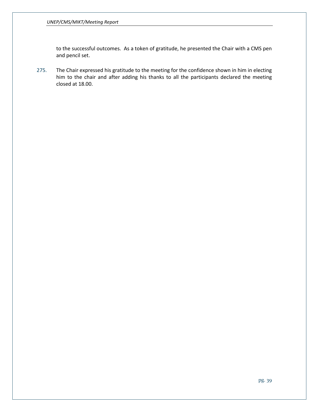to the successful outcomes. As a token of gratitude, he presented the Chair with a CMS pen and pencil set.

275. The Chair expressed his gratitude to the meeting for the confidence shown in him in electing him to the chair and after adding his thanks to all the participants declared the meeting closed at 18.00.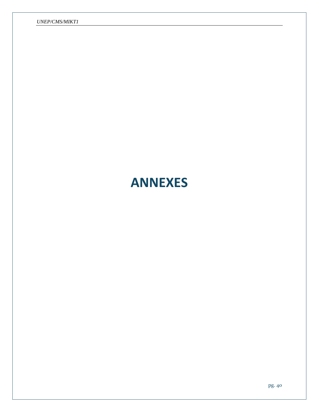# <span id="page-40-0"></span>**ANNEXES**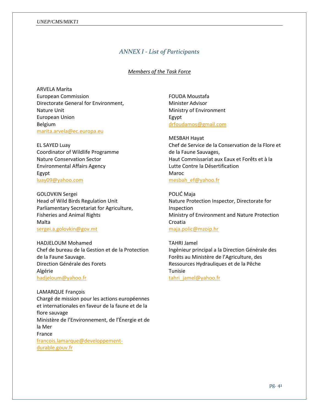#### <span id="page-41-0"></span>*UNEP/CMS/MIKT1*

### *ANNEX I - List of Participants*

#### *Members of the Task Force*

ARVELA Marita European Commission Directorate General for Environment, Nature Unit European Union Belgium [marita.arvela@ec.europa.eu](mailto:marita.arvela@ec.europa.eu)

EL SAYED Luay Coordinator of Wildlife Programme Nature Conservation Sector Environmental Affairs Agency Egypt [luay09@yahoo.com](mailto:luay09@yahoo.com)

GOLOVKIN Sergei Head of Wild Birds Regulation Unit Parliamentary Secretariat for Agriculture, Fisheries and Animal Rights Malta [sergei.a.golovkin@gov.mt](mailto:sergei.a.golovkin@gov.mt)

HADJELOUM Mohamed Chef de bureau de la Gestion et de la Protection de la Faune Sauvage. Direction Générale des Forets Algérie [hadjeloum@yahoo.fr](mailto:hadjeloum@yahoo.fr)

LAMARQUE François Chargé de mission pour les actions européennes et internationales en faveur de la faune et de la flore sauvage Ministère de l'Environnement, de l'Énergie et de la Mer France [francois.lamarque@developpement](mailto:francois.lamarque@developpement-durable.gouv.fr)[durable.gouv.fr](mailto:francois.lamarque@developpement-durable.gouv.fr)

FOUDA Moustafa Minister Advisor Ministry of Environment Egypt [drfoudamos@gmail.com](mailto:drfoudamos@gmail.com)

MESBAH Hayat Chef de Service de la Conservation de la Flore et de la Faune Sauvages, Haut Commissariat aux Eaux et Forêts et à la Lutte Contre la Désertification Maroc [mesbah\\_ef@yahoo.fr](mailto:mesbah_ef@yahoo.fr)

POLIĆ Maja Nature Protection Inspector, Directorate for Inspection Ministry of Environment and Nature Protection Croatia [maja.polic@mzoip.hr](mailto:maja.polic@mzoip.hr)

TAHRI Jamel Ingénieur principal a la Direction Générale des Forêts au Ministère de l'Agriculture, des Ressources Hydrauliques et de la Pêche Tunisie tahri jamel@yahoo.fr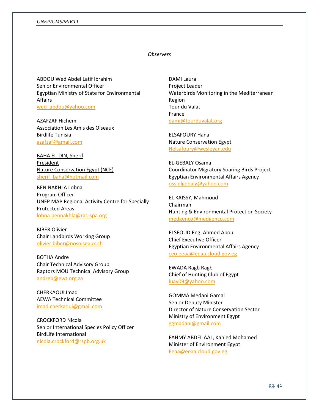#### *UNEP/CMS/MIKT1*

#### *Observers*

ABDOU Wed Abdel Latif Ibrahim Senior Environmental Officer Egyptian Ministry of State for Environmental Affairs [wed\\_abdou@yahoo.com](mailto:wed_abdou@yahoo.com)

AZAFZAF Hichem Association Les Amis des Oiseaux Birdlife Tunisia [azafzaf@gmail.com](mailto:azafzaf@gmail.com)

BAHA EL-DIN, Sherif President Nature Conservation Egypt (NCE) [sherif\\_baha@hotmail.com](mailto:sherif_baha@hotmail.com)

BEN NAKHLA Lobna Program Officer UNEP MAP Regional Activity Centre for Specially Protected Areas [lobna.bennakhla@rac-spa.org](mailto:lobna.bennakhla@rac-spa.org)

BIBER Olivier Chair Landbirds Working Group [olivier.biber@nosoiseaux.ch](mailto:olivier.biber@nosoiseaux.ch)

BOTHA Andre Chair Technical Advisory Group Raptors MOU Technical Advisory Group [andreb@ewt.org.za](mailto:andreb@ewt.org.za)

CHERKAOUI Imad AEWA Technical Committee [imad.cherkaoui@gmail.com](mailto:imad.cherkaoui@gmail.com)

CROCKFORD Nicola Senior International Species Policy Officer BirdLife International [nicola.crockford@rspb.org.uk](mailto:nicola.crockford@rspb.org.uk)

DAMI Laura Project Leader Waterbirds Monitoring in the Mediterranean Region Tour du Valat France [dami@tourduvalat.org](mailto:dami@tourduvalat.org)

ELSAFOURY Hana Nature Conservation Egypt [Helsafoury@wesleyan.edu](mailto:Helsafoury@wesleyan.edu)

EL-GEBALY Osama Coordinator Migratory Soaring Birds Project Egyptian Environmental Affairs Agency [oss.elgebaly@yahoo.com](mailto:oss.elgebaly@yahoo.com)

EL KAISSY, Mahmoud Chairman Hunting & Environmental Protection Society [medgenco@medgenco.com](mailto:medgenco@medgenco.com)

ELSEOUD Eng. Ahmed Abou Chief Executive Officer Egyptian Environmental Affairs Agency [ceo.eeaa@eeaa.cloud.gov.eg](mailto:ceo.eeaa@eeaa.cloud.gov.eg)

EWADA Ragb Ragb Chief of Hunting Club of Egypt [luay09@yahoo.com](mailto:luay09@yahoo.com)

GOMMA Medani Gamal Senior Deputy Minister Director of Nature Conservation Sector Ministry of Environment Egypt [ggmadani@gmail.com](mailto:ggmadani@gmail.com)

FAHMY ABDEL AAL, Kahled Mohamed Minister of Environment Egypt [Eeaa@eeaa.cloud.gov.eg](mailto:Eeaa@eeaa.cloud.gov.eg)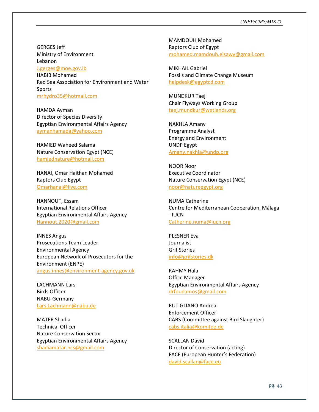GERGES Jeff Ministry of Environment Lebanon

[J.gerges@moe.gov.lb](mailto:J.gerges@moe.gov.lb)

HABIB Mohamed Red Sea Association for Environment and Water Sports [mrhydro35@hotmail.com](mailto:mrhydro35@hotmail.com)

HAMDA Ayman Director of Species Diversity Egyptian Environmental Affairs Agency [aymanhamada@yahoo.com](mailto:aymanhamada@yahoo.com)

HAMIED Waheed Salama Nature Conservation Egypt (NCE) [hamiednature@hotmail.com](mailto:hamiednature@hotmail.com)

HANAI, Omar Haithan Mohamed Raptors Club Egypt [Omarhanai@live.com](mailto:Omarhanai@live.com)

HANNOUT, Essam International Relations Officer Egyptian Environmental Affairs Agency [Hannout.2020@gmail.com](mailto:Hannout.2020@gmail.com)

INNES Angus Prosecutions Team Leader Environmental Agency European Network of Prosecutors for the Environment (ENPE) [angus.innes@environment-agency.gov.uk](mailto:angus.innes@environment-agency.gov.uk)

LACHMANN Lars Birds Officer NABU-Germany [Lars.Lachmann@nabu.de](mailto:Lars.Lachmann@nabu.de)

MATER Shadia Technical Officer Nature Conservation Sector Egyptian Environmental Affairs Agency [shadiamatar.ncs@gmail.com](mailto:shadiamatar.ncs@gmail.com)

MAMDOUH Mohamed Raptors Club of Egypt [mohamed.mamdouh.elsawy@gmail.com](mailto:mohamed.mamdouh.elsawy@gmail.com)

MIKHAIL Gabriel Fossils and Climate Change Museum [helpdesk@egyptcd.com](mailto:helpdesk@egyptcd.com)

MUNDKUR Taej Chair Flyways Working Group [taej.mundkur@wetlands.org](mailto:taej.mundkur@wetlands.org)

NAKHLA Amany Programme Analyst Energy and Environment UNDP Egypt [Amany.nakhla@undp.org](mailto:Amany.nakhla@undp.org)

NOOR Noor Executive Coordinator Nature Conservation Egypt (NCE) [noor@natureegypt.org](mailto:noor@natureegypt.org)

NUMA Catherine Centre for Mediterranean Cooperation, Málaga - IUCN [Catherine.numa@iucn.org](mailto:Catherine.numa@iucn.org)

PLESNER Eva Journalist Grif Stories [info@grifstories.dk](mailto:info@grifstories.dk)

RAHMY Hala Office Manager Egyptian Environmental Affairs Agency [drfoudamos@gmail.com](mailto:drfoudamos@gmail.com)

RUTIGLIANO Andrea Enforcement Officer CABS (Committee against Bird Slaughter) [cabs.italia@komitee.de](mailto:cabs.italia@komitee.de)

SCALLAN David Director of Conservation (acting) FACE (European Hunter's Federation) [david.scallan@face.eu](mailto:david.scallan@face.eu)